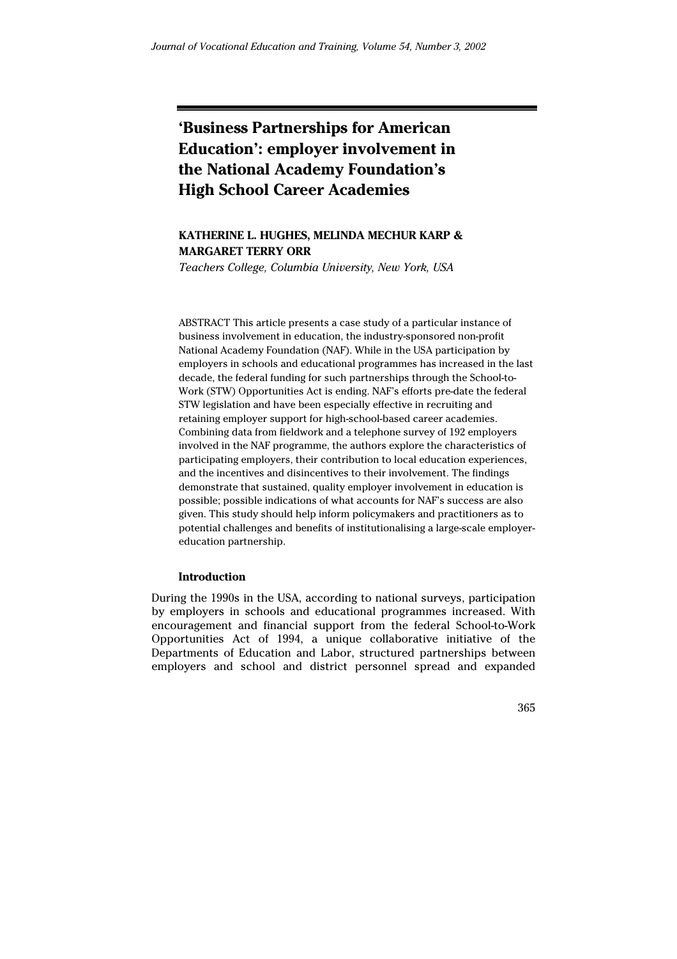# **'Business Partnerships for American Education': employer involvement in the National Academy Foundation's High School Career Academies**

# **KATHERINE L. HUGHES, MELINDA MECHUR KARP & MARGARET TERRY ORR**

*Teachers College, Columbia University, New York, USA* 

ABSTRACT This article presents a case study of a particular instance of business involvement in education, the industry-sponsored non-profit National Academy Foundation (NAF). While in the USA participation by employers in schools and educational programmes has increased in the last decade, the federal funding for such partnerships through the School-to-Work (STW) Opportunities Act is ending. NAF's efforts pre-date the federal STW legislation and have been especially effective in recruiting and retaining employer support for high-school-based career academies. Combining data from fieldwork and a telephone survey of 192 employers involved in the NAF programme, the authors explore the characteristics of participating employers, their contribution to local education experiences, and the incentives and disincentives to their involvement. The findings demonstrate that sustained, quality employer involvement in education is possible; possible indications of what accounts for NAF's success are also given. This study should help inform policymakers and practitioners as to potential challenges and benefits of institutionalising a large-scale employereducation partnership.

#### **Introduction**

During the 1990s in the USA, according to national surveys, participation by employers in schools and educational programmes increased. With encouragement and financial support from the federal School-to-Work Opportunities Act of 1994, a unique collaborative initiative of the Departments of Education and Labor, structured partnerships between employers and school and district personnel spread and expanded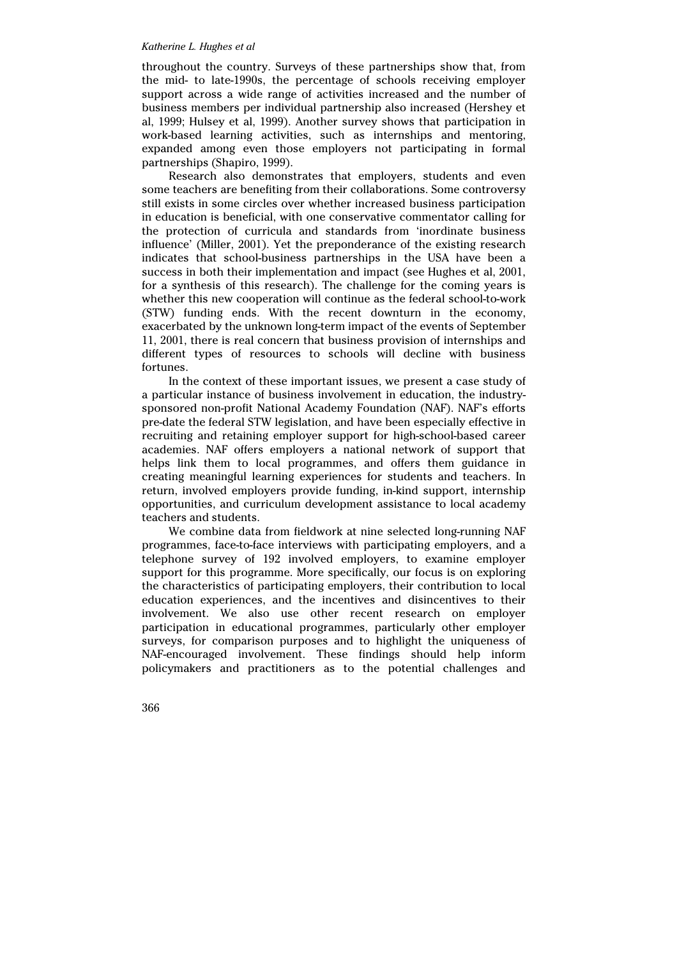throughout the country. Surveys of these partnerships show that, from the mid- to late-1990s, the percentage of schools receiving employer support across a wide range of activities increased and the number of business members per individual partnership also increased (Hershey et al, 1999; Hulsey et al, 1999). Another survey shows that participation in work-based learning activities, such as internships and mentoring, expanded among even those employers not participating in formal partnerships (Shapiro, 1999).

Research also demonstrates that employers, students and even some teachers are benefiting from their collaborations. Some controversy still exists in some circles over whether increased business participation in education is beneficial, with one conservative commentator calling for the protection of curricula and standards from 'inordinate business influence' (Miller, 2001). Yet the preponderance of the existing research indicates that school-business partnerships in the USA have been a success in both their implementation and impact (see Hughes et al, 2001, for a synthesis of this research). The challenge for the coming years is whether this new cooperation will continue as the federal school-to-work (STW) funding ends. With the recent downturn in the economy, exacerbated by the unknown long-term impact of the events of September 11, 2001, there is real concern that business provision of internships and different types of resources to schools will decline with business fortunes.

In the context of these important issues, we present a case study of a particular instance of business involvement in education, the industrysponsored non-profit National Academy Foundation (NAF). NAF's efforts pre-date the federal STW legislation, and have been especially effective in recruiting and retaining employer support for high-school-based career academies. NAF offers employers a national network of support that helps link them to local programmes, and offers them guidance in creating meaningful learning experiences for students and teachers. In return, involved employers provide funding, in-kind support, internship opportunities, and curriculum development assistance to local academy teachers and students.

We combine data from fieldwork at nine selected long-running NAF programmes, face-to-face interviews with participating employers, and a telephone survey of 192 involved employers, to examine employer support for this programme. More specifically, our focus is on exploring the characteristics of participating employers, their contribution to local education experiences, and the incentives and disincentives to their involvement. We also use other recent research on employer participation in educational programmes, particularly other employer surveys, for comparison purposes and to highlight the uniqueness of NAF-encouraged involvement. These findings should help inform policymakers and practitioners as to the potential challenges and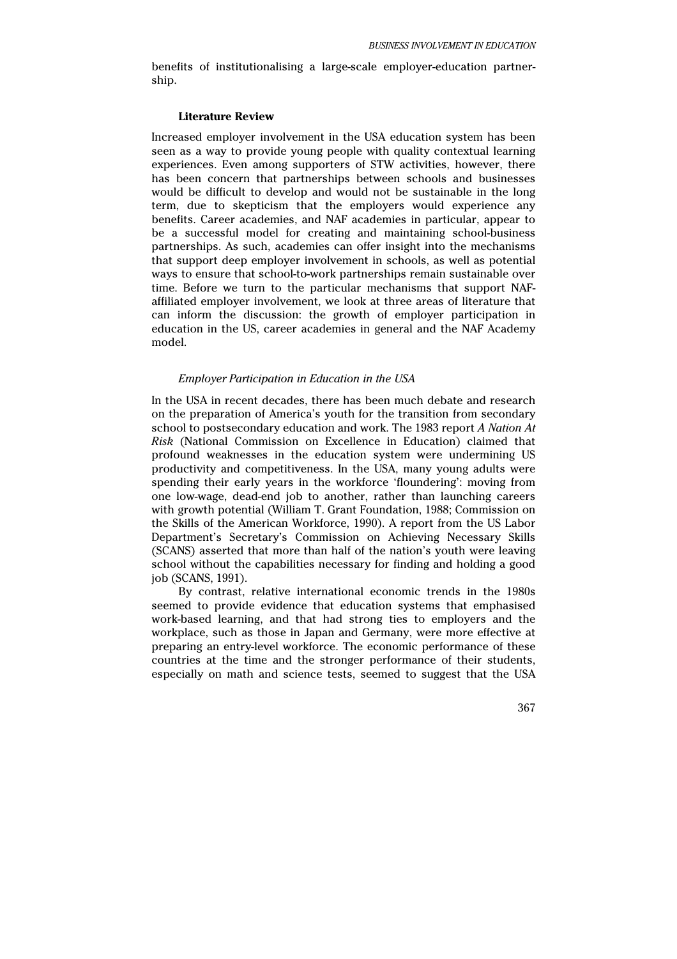benefits of institutionalising a large-scale employer-education partnership.

### **Literature Review**

Increased employer involvement in the USA education system has been seen as a way to provide young people with quality contextual learning experiences. Even among supporters of STW activities, however, there has been concern that partnerships between schools and businesses would be difficult to develop and would not be sustainable in the long term, due to skepticism that the employers would experience any benefits. Career academies, and NAF academies in particular, appear to be a successful model for creating and maintaining school-business partnerships. As such, academies can offer insight into the mechanisms that support deep employer involvement in schools, as well as potential ways to ensure that school-to-work partnerships remain sustainable over time. Before we turn to the particular mechanisms that support NAFaffiliated employer involvement, we look at three areas of literature that can inform the discussion: the growth of employer participation in education in the US, career academies in general and the NAF Academy model.

# *Employer Participation in Education in the USA*

In the USA in recent decades, there has been much debate and research on the preparation of America's youth for the transition from secondary school to postsecondary education and work. The 1983 report *A Nation At Risk* (National Commission on Excellence in Education) claimed that profound weaknesses in the education system were undermining US productivity and competitiveness. In the USA, many young adults were spending their early years in the workforce 'floundering': moving from one low-wage, dead-end job to another, rather than launching careers with growth potential (William T. Grant Foundation, 1988; Commission on the Skills of the American Workforce, 1990). A report from the US Labor Department's Secretary's Commission on Achieving Necessary Skills (SCANS) asserted that more than half of the nation's youth were leaving school without the capabilities necessary for finding and holding a good job (SCANS, 1991).

By contrast, relative international economic trends in the 1980s seemed to provide evidence that education systems that emphasised work-based learning, and that had strong ties to employers and the workplace, such as those in Japan and Germany, were more effective at preparing an entry-level workforce. The economic performance of these countries at the time and the stronger performance of their students, especially on math and science tests, seemed to suggest that the USA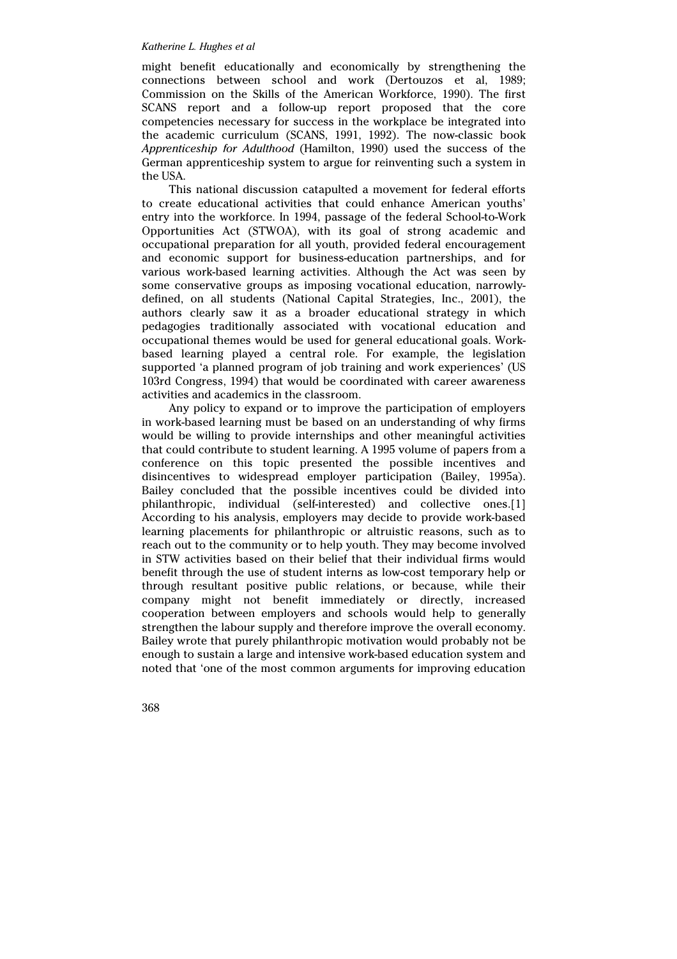might benefit educationally and economically by strengthening the connections between school and work (Dertouzos et al, 1989; Commission on the Skills of the American Workforce, 1990). The first SCANS report and a follow-up report proposed that the core competencies necessary for success in the workplace be integrated into the academic curriculum (SCANS, 1991, 1992). The now-classic book *Apprenticeship for Adulthood* (Hamilton, 1990) used the success of the German apprenticeship system to argue for reinventing such a system in the USA.

This national discussion catapulted a movement for federal efforts to create educational activities that could enhance American youths' entry into the workforce. In 1994, passage of the federal School-to-Work Opportunities Act (STWOA), with its goal of strong academic and occupational preparation for all youth, provided federal encouragement and economic support for business-education partnerships, and for various work-based learning activities. Although the Act was seen by some conservative groups as imposing vocational education, narrowlydefined, on all students (National Capital Strategies, Inc., 2001), the authors clearly saw it as a broader educational strategy in which pedagogies traditionally associated with vocational education and occupational themes would be used for general educational goals. Workbased learning played a central role. For example, the legislation supported 'a planned program of job training and work experiences' (US 103rd Congress, 1994) that would be coordinated with career awareness activities and academics in the classroom.

Any policy to expand or to improve the participation of employers in work-based learning must be based on an understanding of why firms would be willing to provide internships and other meaningful activities that could contribute to student learning. A 1995 volume of papers from a conference on this topic presented the possible incentives and disincentives to widespread employer participation (Bailey, 1995a). Bailey concluded that the possible incentives could be divided into philanthropic, individual (self-interested) and collective ones.[1] According to his analysis, employers may decide to provide work-based learning placements for philanthropic or altruistic reasons, such as to reach out to the community or to help youth. They may become involved in STW activities based on their belief that their individual firms would benefit through the use of student interns as low-cost temporary help or through resultant positive public relations, or because, while their company might not benefit immediately or directly, increased cooperation between employers and schools would help to generally strengthen the labour supply and therefore improve the overall economy. Bailey wrote that purely philanthropic motivation would probably not be enough to sustain a large and intensive work-based education system and noted that 'one of the most common arguments for improving education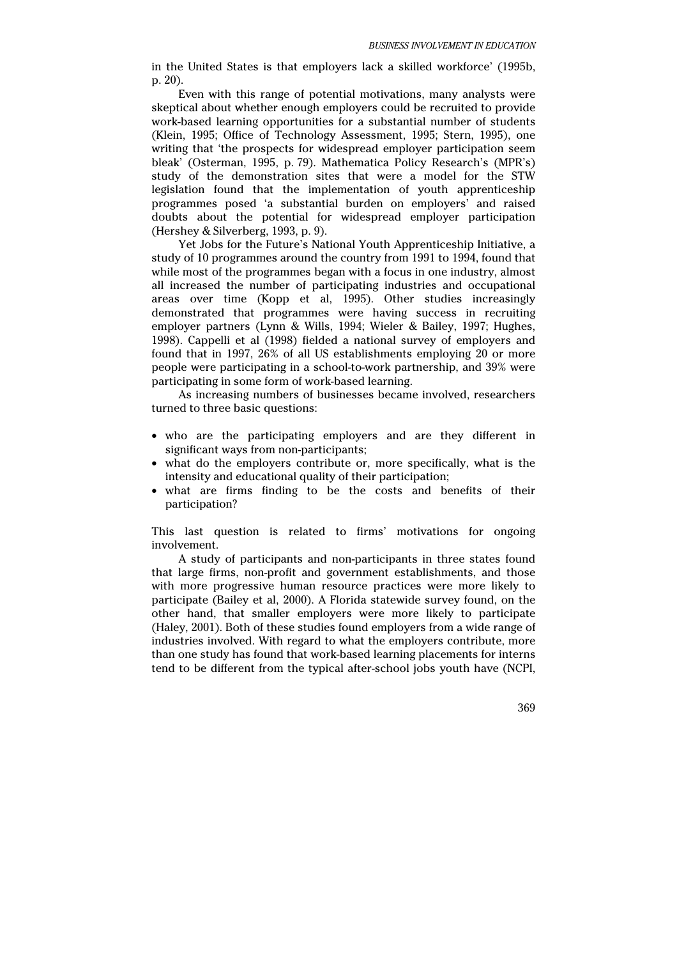in the United States is that employers lack a skilled workforce' (1995b, p. 20).

Even with this range of potential motivations, many analysts were skeptical about whether enough employers could be recruited to provide work-based learning opportunities for a substantial number of students (Klein, 1995; Office of Technology Assessment, 1995; Stern, 1995), one writing that 'the prospects for widespread employer participation seem bleak' (Osterman, 1995, p. 79). Mathematica Policy Research's (MPR's) study of the demonstration sites that were a model for the STW legislation found that the implementation of youth apprenticeship programmes posed 'a substantial burden on employers' and raised doubts about the potential for widespread employer participation (Hershey & Silverberg, 1993, p. 9).

Yet Jobs for the Future's National Youth Apprenticeship Initiative, a study of 10 programmes around the country from 1991 to 1994, found that while most of the programmes began with a focus in one industry, almost all increased the number of participating industries and occupational areas over time (Kopp et al, 1995). Other studies increasingly demonstrated that programmes were having success in recruiting employer partners (Lynn & Wills, 1994; Wieler & Bailey, 1997; Hughes, 1998). Cappelli et al (1998) fielded a national survey of employers and found that in 1997, 26% of all US establishments employing 20 or more people were participating in a school-to-work partnership, and 39% were participating in some form of work-based learning.

As increasing numbers of businesses became involved, researchers turned to three basic questions:

- who are the participating employers and are they different in significant ways from non-participants;
- what do the employers contribute or, more specifically, what is the intensity and educational quality of their participation;
- what are firms finding to be the costs and benefits of their participation?

This last question is related to firms' motivations for ongoing involvement.

A study of participants and non-participants in three states found that large firms, non-profit and government establishments, and those with more progressive human resource practices were more likely to participate (Bailey et al, 2000). A Florida statewide survey found, on the other hand, that smaller employers were more likely to participate (Haley, 2001). Both of these studies found employers from a wide range of industries involved. With regard to what the employers contribute, more than one study has found that work-based learning placements for interns tend to be different from the typical after-school jobs youth have (NCPI,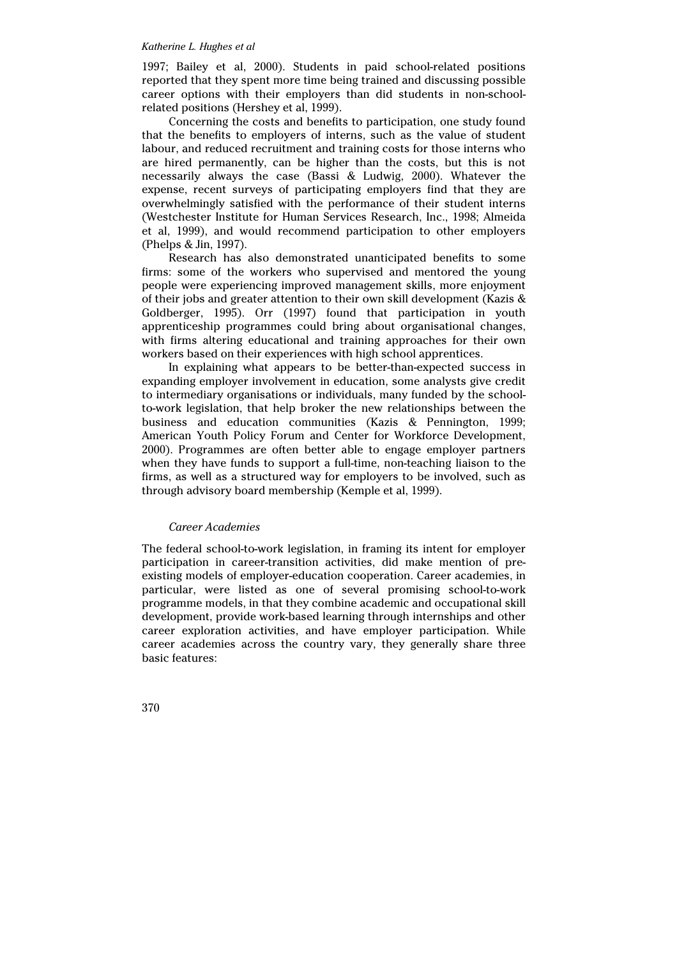1997; Bailey et al, 2000). Students in paid school-related positions reported that they spent more time being trained and discussing possible career options with their employers than did students in non-schoolrelated positions (Hershey et al, 1999).

Concerning the costs and benefits to participation, one study found that the benefits to employers of interns, such as the value of student labour, and reduced recruitment and training costs for those interns who are hired permanently, can be higher than the costs, but this is not necessarily always the case (Bassi & Ludwig, 2000). Whatever the expense, recent surveys of participating employers find that they are overwhelmingly satisfied with the performance of their student interns (Westchester Institute for Human Services Research, Inc., 1998; Almeida et al, 1999), and would recommend participation to other employers (Phelps & Jin, 1997).

Research has also demonstrated unanticipated benefits to some firms: some of the workers who supervised and mentored the young people were experiencing improved management skills, more enjoyment of their jobs and greater attention to their own skill development (Kazis & Goldberger, 1995). Orr (1997) found that participation in youth apprenticeship programmes could bring about organisational changes, with firms altering educational and training approaches for their own workers based on their experiences with high school apprentices.

In explaining what appears to be better-than-expected success in expanding employer involvement in education, some analysts give credit to intermediary organisations or individuals, many funded by the schoolto-work legislation, that help broker the new relationships between the business and education communities (Kazis & Pennington, 1999; American Youth Policy Forum and Center for Workforce Development, 2000). Programmes are often better able to engage employer partners when they have funds to support a full-time, non-teaching liaison to the firms, as well as a structured way for employers to be involved, such as through advisory board membership (Kemple et al, 1999).

### *Career Academies*

The federal school-to-work legislation, in framing its intent for employer participation in career-transition activities, did make mention of preexisting models of employer-education cooperation. Career academies, in particular, were listed as one of several promising school-to-work programme models, in that they combine academic and occupational skill development, provide work-based learning through internships and other career exploration activities, and have employer participation. While career academies across the country vary, they generally share three basic features: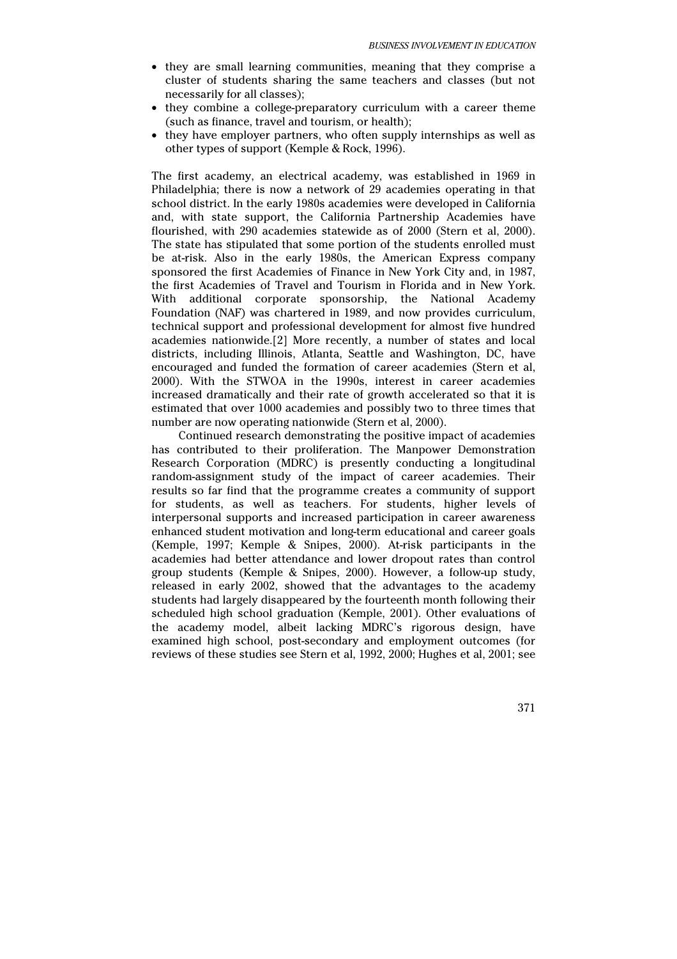- they are small learning communities, meaning that they comprise a cluster of students sharing the same teachers and classes (but not necessarily for all classes);
- they combine a college-preparatory curriculum with a career theme (such as finance, travel and tourism, or health);
- they have employer partners, who often supply internships as well as other types of support (Kemple & Rock, 1996).

The first academy, an electrical academy, was established in 1969 in Philadelphia; there is now a network of 29 academies operating in that school district. In the early 1980s academies were developed in California and, with state support, the California Partnership Academies have flourished, with 290 academies statewide as of 2000 (Stern et al, 2000). The state has stipulated that some portion of the students enrolled must be at-risk. Also in the early 1980s, the American Express company sponsored the first Academies of Finance in New York City and, in 1987, the first Academies of Travel and Tourism in Florida and in New York. With additional corporate sponsorship, the National Academy Foundation (NAF) was chartered in 1989, and now provides curriculum, technical support and professional development for almost five hundred academies nationwide.[2] More recently, a number of states and local districts, including Illinois, Atlanta, Seattle and Washington, DC, have encouraged and funded the formation of career academies (Stern et al, 2000). With the STWOA in the 1990s, interest in career academies increased dramatically and their rate of growth accelerated so that it is estimated that over 1000 academies and possibly two to three times that number are now operating nationwide (Stern et al, 2000).

Continued research demonstrating the positive impact of academies has contributed to their proliferation. The Manpower Demonstration Research Corporation (MDRC) is presently conducting a longitudinal random-assignment study of the impact of career academies. Their results so far find that the programme creates a community of support for students, as well as teachers. For students, higher levels of interpersonal supports and increased participation in career awareness enhanced student motivation and long-term educational and career goals (Kemple, 1997; Kemple & Snipes, 2000). At-risk participants in the academies had better attendance and lower dropout rates than control group students (Kemple & Snipes, 2000). However, a follow-up study, released in early 2002, showed that the advantages to the academy students had largely disappeared by the fourteenth month following their scheduled high school graduation (Kemple, 2001). Other evaluations of the academy model, albeit lacking MDRC's rigorous design, have examined high school, post-secondary and employment outcomes (for reviews of these studies see Stern et al, 1992, 2000; Hughes et al, 2001; see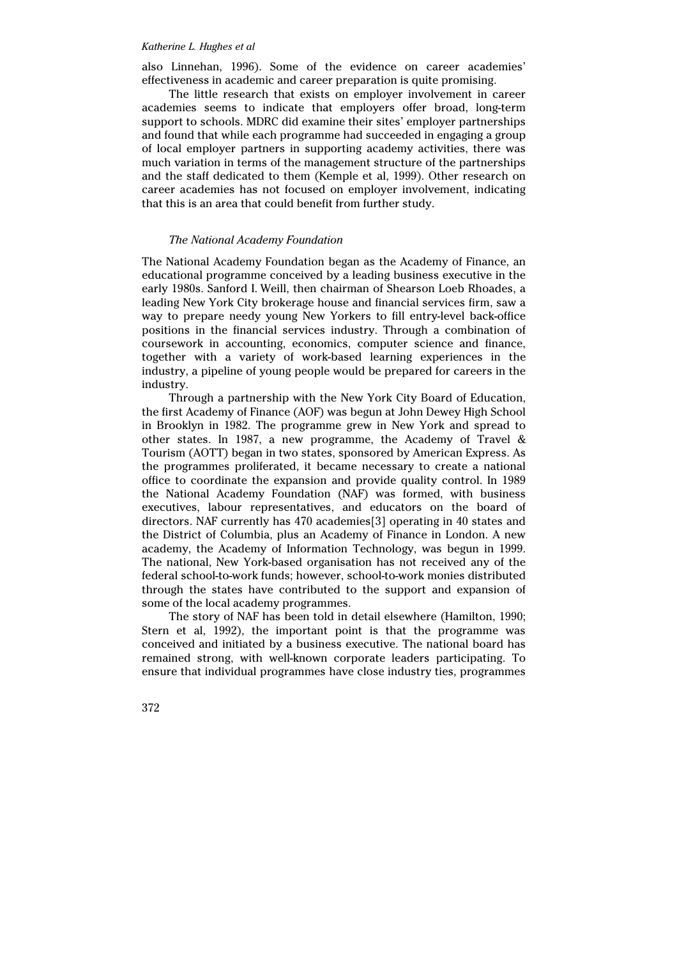also Linnehan, 1996). Some of the evidence on career academies' effectiveness in academic and career preparation is quite promising.

The little research that exists on employer involvement in career academies seems to indicate that employers offer broad, long-term support to schools. MDRC did examine their sites' employer partnerships and found that while each programme had succeeded in engaging a group of local employer partners in supporting academy activities, there was much variation in terms of the management structure of the partnerships and the staff dedicated to them (Kemple et al, 1999). Other research on career academies has not focused on employer involvement, indicating that this is an area that could benefit from further study.

## *The National Academy Foundation*

The National Academy Foundation began as the Academy of Finance, an educational programme conceived by a leading business executive in the early 1980s. Sanford I. Weill, then chairman of Shearson Loeb Rhoades, a leading New York City brokerage house and financial services firm, saw a way to prepare needy young New Yorkers to fill entry-level back-office positions in the financial services industry. Through a combination of coursework in accounting, economics, computer science and finance, together with a variety of work-based learning experiences in the industry, a pipeline of young people would be prepared for careers in the industry.

Through a partnership with the New York City Board of Education, the first Academy of Finance (AOF) was begun at John Dewey High School in Brooklyn in 1982. The programme grew in New York and spread to other states. In 1987, a new programme, the Academy of Travel & Tourism (AOTT) began in two states, sponsored by American Express. As the programmes proliferated, it became necessary to create a national office to coordinate the expansion and provide quality control. In 1989 the National Academy Foundation (NAF) was formed, with business executives, labour representatives, and educators on the board of directors. NAF currently has 470 academies[3] operating in 40 states and the District of Columbia, plus an Academy of Finance in London. A new academy, the Academy of Information Technology, was begun in 1999. The national, New York-based organisation has not received any of the federal school-to-work funds; however, school-to-work monies distributed through the states have contributed to the support and expansion of some of the local academy programmes.

The story of NAF has been told in detail elsewhere (Hamilton, 1990; Stern et al, 1992), the important point is that the programme was conceived and initiated by a business executive. The national board has remained strong, with well-known corporate leaders participating. To ensure that individual programmes have close industry ties, programmes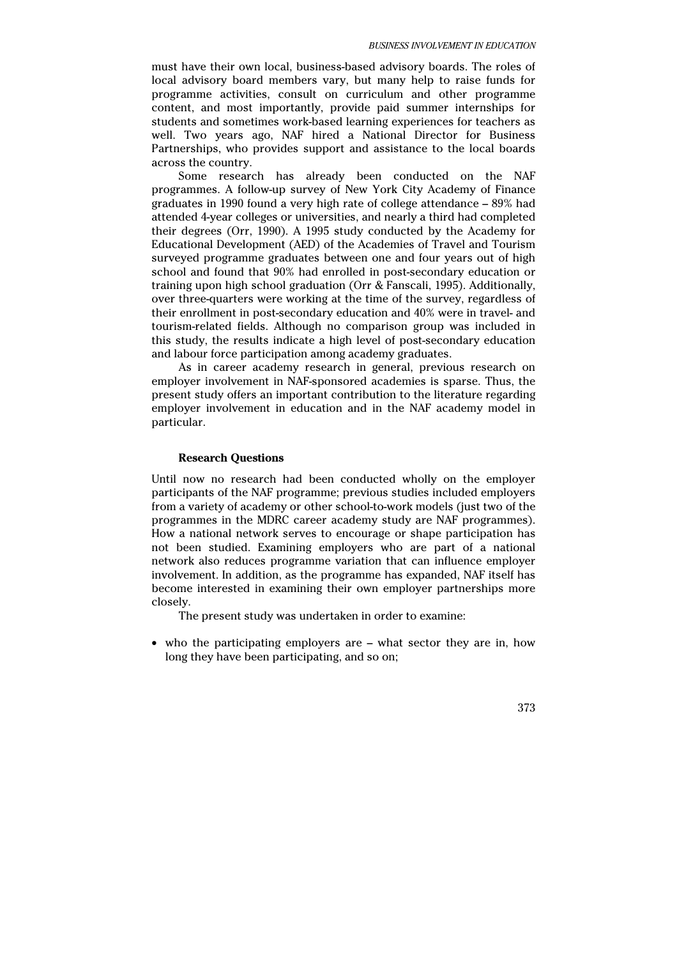must have their own local, business-based advisory boards. The roles of local advisory board members vary, but many help to raise funds for programme activities, consult on curriculum and other programme content, and most importantly, provide paid summer internships for students and sometimes work-based learning experiences for teachers as well. Two years ago, NAF hired a National Director for Business Partnerships, who provides support and assistance to the local boards across the country.

Some research has already been conducted on the NAF programmes. A follow-up survey of New York City Academy of Finance graduates in 1990 found a very high rate of college attendance – 89% had attended 4-year colleges or universities, and nearly a third had completed their degrees (Orr, 1990). A 1995 study conducted by the Academy for Educational Development (AED) of the Academies of Travel and Tourism surveyed programme graduates between one and four years out of high school and found that 90% had enrolled in post-secondary education or training upon high school graduation (Orr & Fanscali, 1995). Additionally, over three-quarters were working at the time of the survey, regardless of their enrollment in post-secondary education and 40% were in travel- and tourism-related fields. Although no comparison group was included in this study, the results indicate a high level of post-secondary education and labour force participation among academy graduates.

As in career academy research in general, previous research on employer involvement in NAF-sponsored academies is sparse. Thus, the present study offers an important contribution to the literature regarding employer involvement in education and in the NAF academy model in particular.

# **Research Questions**

Until now no research had been conducted wholly on the employer participants of the NAF programme; previous studies included employers from a variety of academy or other school-to-work models (just two of the programmes in the MDRC career academy study are NAF programmes). How a national network serves to encourage or shape participation has not been studied. Examining employers who are part of a national network also reduces programme variation that can influence employer involvement. In addition, as the programme has expanded, NAF itself has become interested in examining their own employer partnerships more closely.

The present study was undertaken in order to examine:

• who the participating employers are – what sector they are in, how long they have been participating, and so on;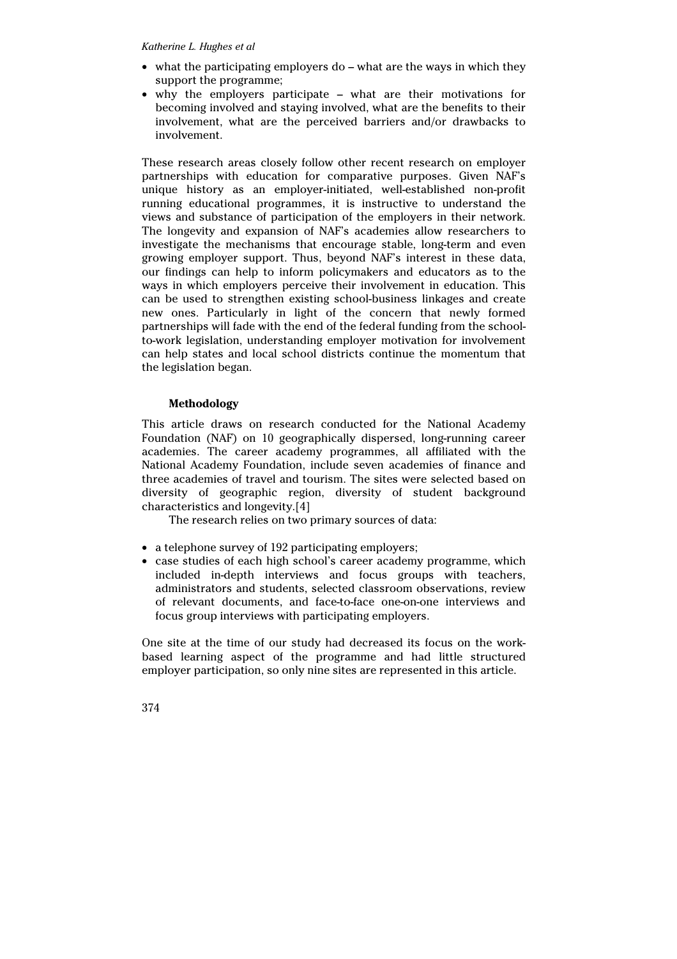- what the participating employers do what are the ways in which they support the programme;
- why the employers participate what are their motivations for becoming involved and staying involved, what are the benefits to their involvement, what are the perceived barriers and/or drawbacks to involvement.

These research areas closely follow other recent research on employer partnerships with education for comparative purposes. Given NAF's unique history as an employer-initiated, well-established non-profit running educational programmes, it is instructive to understand the views and substance of participation of the employers in their network. The longevity and expansion of NAF's academies allow researchers to investigate the mechanisms that encourage stable, long-term and even growing employer support. Thus, beyond NAF's interest in these data, our findings can help to inform policymakers and educators as to the ways in which employers perceive their involvement in education. This can be used to strengthen existing school-business linkages and create new ones. Particularly in light of the concern that newly formed partnerships will fade with the end of the federal funding from the schoolto-work legislation, understanding employer motivation for involvement can help states and local school districts continue the momentum that the legislation began.

# **Methodology**

This article draws on research conducted for the National Academy Foundation (NAF) on 10 geographically dispersed, long-running career academies. The career academy programmes, all affiliated with the National Academy Foundation, include seven academies of finance and three academies of travel and tourism. The sites were selected based on diversity of geographic region, diversity of student background characteristics and longevity.[4]

The research relies on two primary sources of data:

- a telephone survey of 192 participating employers;
- case studies of each high school's career academy programme, which included in-depth interviews and focus groups with teachers, administrators and students, selected classroom observations, review of relevant documents, and face-to-face one-on-one interviews and focus group interviews with participating employers.

One site at the time of our study had decreased its focus on the workbased learning aspect of the programme and had little structured employer participation, so only nine sites are represented in this article.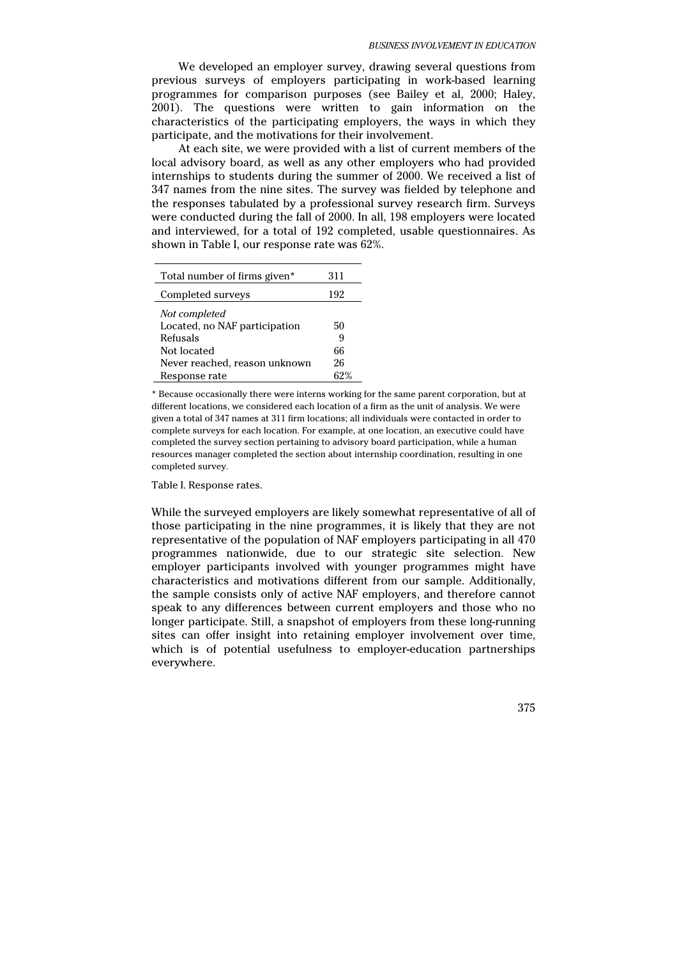We developed an employer survey, drawing several questions from previous surveys of employers participating in work-based learning programmes for comparison purposes (see Bailey et al, 2000; Haley, 2001). The questions were written to gain information on the characteristics of the participating employers, the ways in which they participate, and the motivations for their involvement.

At each site, we were provided with a list of current members of the local advisory board, as well as any other employers who had provided internships to students during the summer of 2000. We received a list of 347 names from the nine sites. The survey was fielded by telephone and the responses tabulated by a professional survey research firm. Surveys were conducted during the fall of 2000. In all, 198 employers were located and interviewed, for a total of 192 completed, usable questionnaires. As shown in Table I, our response rate was 62%.

| Completed surveys<br>192            |
|-------------------------------------|
| Not completed                       |
| Located, no NAF participation<br>50 |
| Refusals<br>9                       |
| 66<br>Not located                   |
| Never reached, reason unknown<br>26 |
| Response rate<br>ናን%                |

\* Because occasionally there were interns working for the same parent corporation, but at different locations, we considered each location of a firm as the unit of analysis. We were given a total of 347 names at 311 firm locations; all individuals were contacted in order to complete surveys for each location. For example, at one location, an executive could have completed the survey section pertaining to advisory board participation, while a human resources manager completed the section about internship coordination, resulting in one completed survey.

Table I. Response rates.

While the surveyed employers are likely somewhat representative of all of those participating in the nine programmes, it is likely that they are not representative of the population of NAF employers participating in all 470 programmes nationwide, due to our strategic site selection. New employer participants involved with younger programmes might have characteristics and motivations different from our sample. Additionally, the sample consists only of active NAF employers, and therefore cannot speak to any differences between current employers and those who no longer participate. Still, a snapshot of employers from these long-running sites can offer insight into retaining employer involvement over time, which is of potential usefulness to employer-education partnerships everywhere.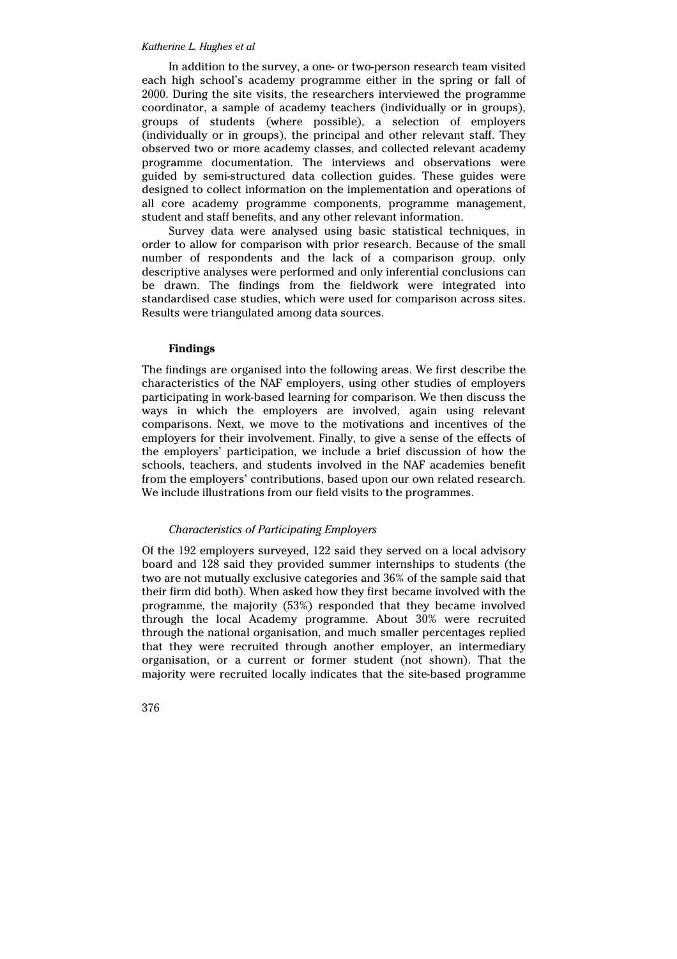In addition to the survey, a one- or two-person research team visited each high school's academy programme either in the spring or fall of 2000. During the site visits, the researchers interviewed the programme coordinator, a sample of academy teachers (individually or in groups), groups of students (where possible), a selection of employers (individually or in groups), the principal and other relevant staff. They observed two or more academy classes, and collected relevant academy programme documentation. The interviews and observations were guided by semi-structured data collection guides. These guides were designed to collect information on the implementation and operations of all core academy programme components, programme management, student and staff benefits, and any other relevant information.

Survey data were analysed using basic statistical techniques, in order to allow for comparison with prior research. Because of the small number of respondents and the lack of a comparison group, only descriptive analyses were performed and only inferential conclusions can be drawn. The findings from the fieldwork were integrated into standardised case studies, which were used for comparison across sites. Results were triangulated among data sources.

# **Findings**

The findings are organised into the following areas. We first describe the characteristics of the NAF employers, using other studies of employers participating in work-based learning for comparison. We then discuss the ways in which the employers are involved, again using relevant comparisons. Next, we move to the motivations and incentives of the employers for their involvement. Finally, to give a sense of the effects of the employers' participation, we include a brief discussion of how the schools, teachers, and students involved in the NAF academies benefit from the employers' contributions, based upon our own related research. We include illustrations from our field visits to the programmes.

# *Characteristics of Participating Employers*

Of the 192 employers surveyed, 122 said they served on a local advisory board and 128 said they provided summer internships to students (the two are not mutually exclusive categories and 36% of the sample said that their firm did both). When asked how they first became involved with the programme, the majority (53%) responded that they became involved through the local Academy programme. About 30% were recruited through the national organisation, and much smaller percentages replied that they were recruited through another employer, an intermediary organisation, or a current or former student (not shown). That the majority were recruited locally indicates that the site-based programme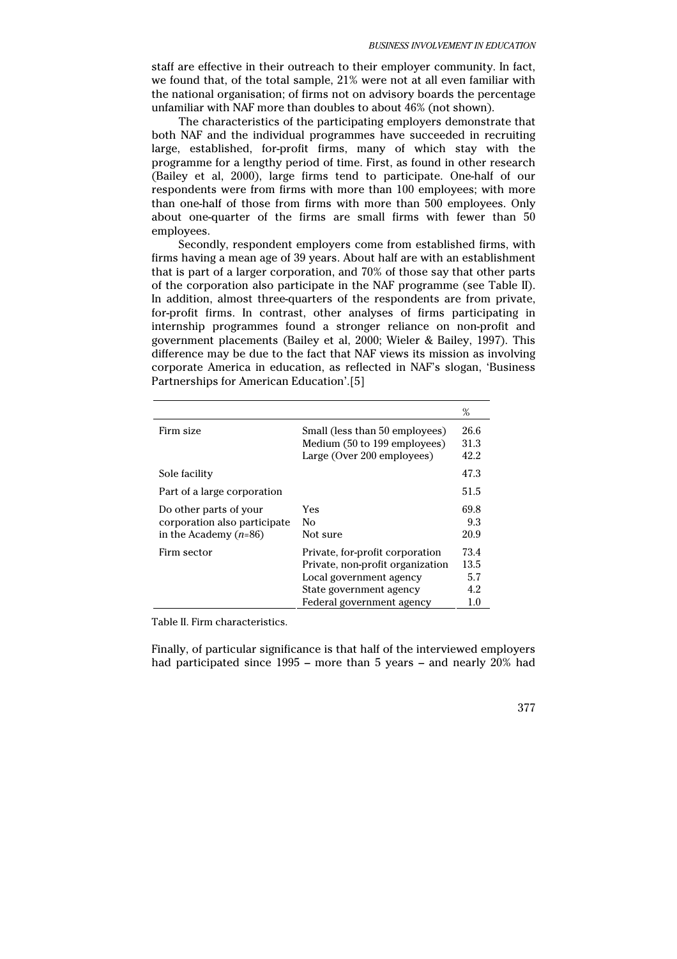staff are effective in their outreach to their employer community. In fact, we found that, of the total sample, 21% were not at all even familiar with the national organisation; of firms not on advisory boards the percentage unfamiliar with NAF more than doubles to about 46% (not shown).

The characteristics of the participating employers demonstrate that both NAF and the individual programmes have succeeded in recruiting large, established, for-profit firms, many of which stay with the programme for a lengthy period of time. First, as found in other research (Bailey et al, 2000), large firms tend to participate. One-half of our respondents were from firms with more than 100 employees; with more than one-half of those from firms with more than 500 employees. Only about one-quarter of the firms are small firms with fewer than 50 employees.

Secondly, respondent employers come from established firms, with firms having a mean age of 39 years. About half are with an establishment that is part of a larger corporation, and 70% of those say that other parts of the corporation also participate in the NAF programme (see Table II). In addition, almost three-quarters of the respondents are from private, for-profit firms. In contrast, other analyses of firms participating in internship programmes found a stronger reliance on non-profit and government placements (Bailey et al, 2000; Wieler & Bailey, 1997). This difference may be due to the fact that NAF views its mission as involving corporate America in education, as reflected in NAF's slogan, 'Business Partnerships for American Education'.[5]

|                                                                                   |                                                                                                                                                        | %                                     |
|-----------------------------------------------------------------------------------|--------------------------------------------------------------------------------------------------------------------------------------------------------|---------------------------------------|
| Firm size                                                                         | Small (less than 50 employees)<br>Medium (50 to 199 employees)<br>Large (Over 200 employees)                                                           | 26.6<br>31.3<br>42.2                  |
| Sole facility                                                                     |                                                                                                                                                        | 47.3                                  |
| Part of a large corporation                                                       |                                                                                                                                                        | 51.5                                  |
| Do other parts of your<br>corporation also participate<br>in the Academy $(n=86)$ | Yes<br>Nο<br>Not sure                                                                                                                                  | 69.8<br>9.3<br>20.9                   |
| Firm sector                                                                       | Private, for-profit corporation<br>Private, non-profit organization<br>Local government agency<br>State government agency<br>Federal government agency | 73.4<br>13.5<br>5.7<br>4.2<br>$1.0\,$ |

Table II. Firm characteristics.

Finally, of particular significance is that half of the interviewed employers had participated since 1995 – more than 5 years – and nearly 20% had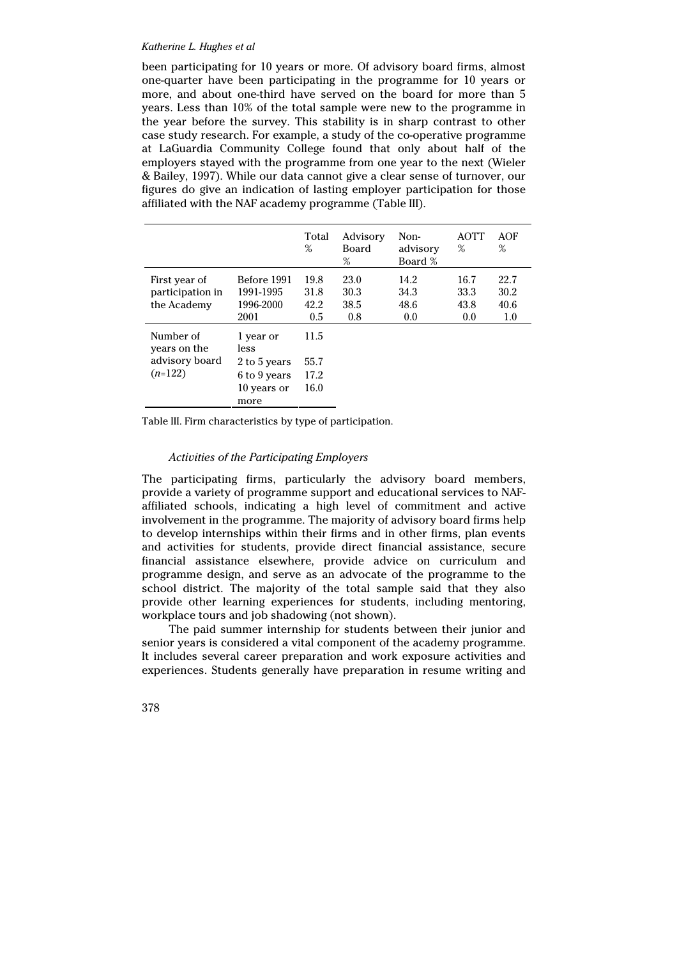been participating for 10 years or more. Of advisory board firms, almost one-quarter have been participating in the programme for 10 years or more, and about one-third have served on the board for more than 5 years. Less than 10% of the total sample were new to the programme in the year before the survey. This stability is in sharp contrast to other case study research. For example, a study of the co-operative programme at LaGuardia Community College found that only about half of the employers stayed with the programme from one year to the next (Wieler & Bailey, 1997). While our data cannot give a clear sense of turnover, our figures do give an indication of lasting employer participation for those affiliated with the NAF academy programme (Table III).

|                                                          |                                                                          | Total<br>%                   | Advisory<br>Board<br>%      | Non-<br>advisory<br>Board % | <b>AOTT</b><br>%            | AOF<br>%                    |
|----------------------------------------------------------|--------------------------------------------------------------------------|------------------------------|-----------------------------|-----------------------------|-----------------------------|-----------------------------|
| First year of<br>participation in<br>the Academy         | Before 1991<br>1991-1995<br>1996-2000<br>2001                            | 19.8<br>31.8<br>42.2<br>0.5  | 23.0<br>30.3<br>38.5<br>0.8 | 14.2<br>34.3<br>48.6<br>0.0 | 16.7<br>33.3<br>43.8<br>0.0 | 22.7<br>30.2<br>40.6<br>1.0 |
| Number of<br>years on the<br>advisory board<br>$(n=122)$ | 1 year or<br>less<br>2 to 5 years<br>6 to 9 years<br>10 years or<br>more | 11.5<br>55.7<br>17.2<br>16.0 |                             |                             |                             |                             |

Table III. Firm characteristics by type of participation.

# *Activities of the Participating Employers*

The participating firms, particularly the advisory board members, provide a variety of programme support and educational services to NAFaffiliated schools, indicating a high level of commitment and active involvement in the programme. The majority of advisory board firms help to develop internships within their firms and in other firms, plan events and activities for students, provide direct financial assistance, secure financial assistance elsewhere, provide advice on curriculum and programme design, and serve as an advocate of the programme to the school district. The majority of the total sample said that they also provide other learning experiences for students, including mentoring, workplace tours and job shadowing (not shown).

The paid summer internship for students between their junior and senior years is considered a vital component of the academy programme. It includes several career preparation and work exposure activities and experiences. Students generally have preparation in resume writing and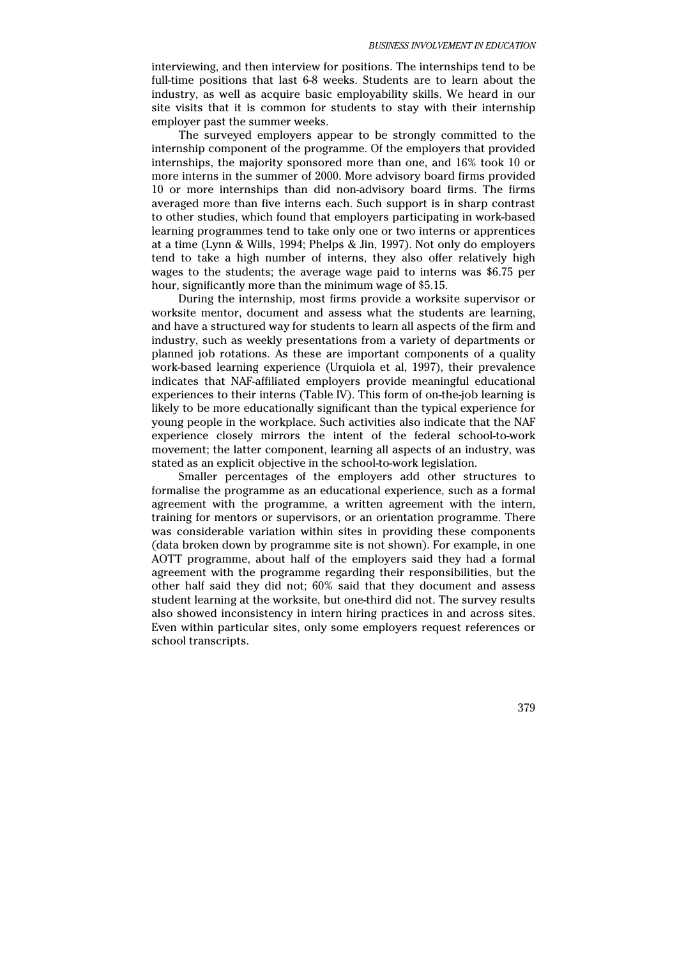interviewing, and then interview for positions. The internships tend to be full-time positions that last 6-8 weeks. Students are to learn about the industry, as well as acquire basic employability skills. We heard in our site visits that it is common for students to stay with their internship employer past the summer weeks.

The surveyed employers appear to be strongly committed to the internship component of the programme. Of the employers that provided internships, the majority sponsored more than one, and 16% took 10 or more interns in the summer of 2000. More advisory board firms provided 10 or more internships than did non-advisory board firms. The firms averaged more than five interns each. Such support is in sharp contrast to other studies, which found that employers participating in work-based learning programmes tend to take only one or two interns or apprentices at a time (Lynn & Wills, 1994; Phelps & Jin, 1997). Not only do employers tend to take a high number of interns, they also offer relatively high wages to the students; the average wage paid to interns was \$6.75 per hour, significantly more than the minimum wage of \$5.15.

During the internship, most firms provide a worksite supervisor or worksite mentor, document and assess what the students are learning, and have a structured way for students to learn all aspects of the firm and industry, such as weekly presentations from a variety of departments or planned job rotations. As these are important components of a quality work-based learning experience (Urquiola et al, 1997), their prevalence indicates that NAF-affiliated employers provide meaningful educational experiences to their interns (Table IV). This form of on-the-job learning is likely to be more educationally significant than the typical experience for young people in the workplace. Such activities also indicate that the NAF experience closely mirrors the intent of the federal school-to-work movement; the latter component, learning all aspects of an industry, was stated as an explicit objective in the school-to-work legislation.

Smaller percentages of the employers add other structures to formalise the programme as an educational experience, such as a formal agreement with the programme, a written agreement with the intern, training for mentors or supervisors, or an orientation programme. There was considerable variation within sites in providing these components (data broken down by programme site is not shown). For example, in one AOTT programme, about half of the employers said they had a formal agreement with the programme regarding their responsibilities, but the other half said they did not; 60% said that they document and assess student learning at the worksite, but one-third did not. The survey results also showed inconsistency in intern hiring practices in and across sites. Even within particular sites, only some employers request references or school transcripts.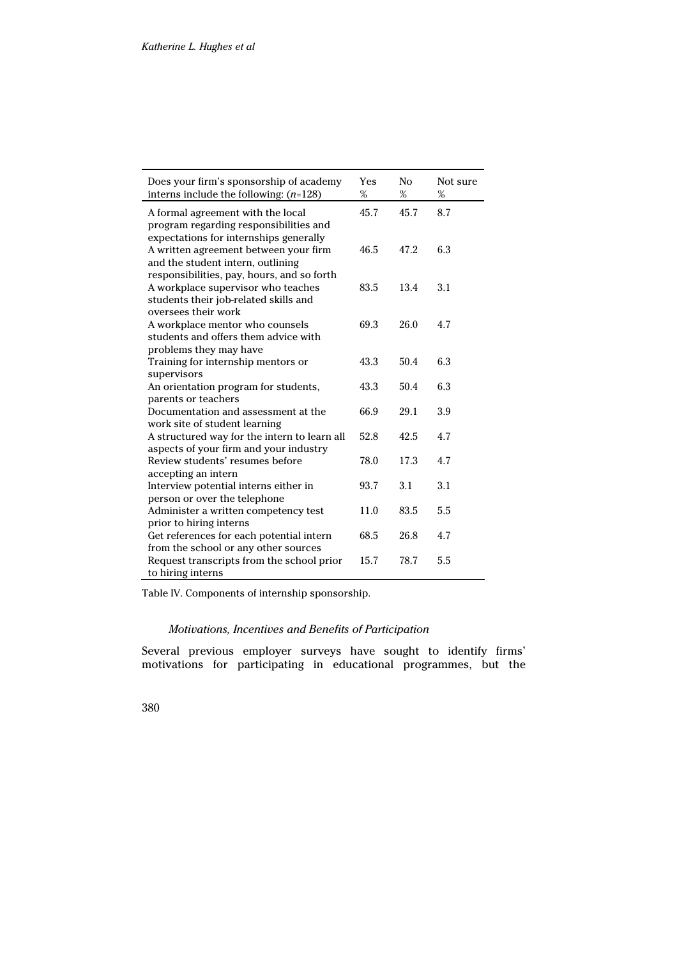| Does your firm's sponsorship of academy<br>interns include the following: $(n=128)$                                      | Yes<br>% | N <sub>o</sub><br>% | Not sure<br>% |
|--------------------------------------------------------------------------------------------------------------------------|----------|---------------------|---------------|
| A formal agreement with the local<br>program regarding responsibilities and<br>expectations for internships generally    | 45.7     | 45.7                | 8.7           |
| A written agreement between your firm<br>and the student intern, outlining<br>responsibilities, pay, hours, and so forth | 46.5     | 47.2                | 6.3           |
| A workplace supervisor who teaches<br>students their job-related skills and<br>oversees their work                       | 83.5     | 13.4                | 3.1           |
| A workplace mentor who counsels<br>students and offers them advice with                                                  | 69.3     | 26.0                | 4.7           |
| problems they may have<br>Training for internship mentors or<br>supervisors                                              | 43.3     | 50.4                | 6.3           |
| An orientation program for students,<br>parents or teachers                                                              | 43.3     | 50.4                | 6.3           |
| Documentation and assessment at the<br>work site of student learning                                                     | 66.9     | 29.1                | 3.9           |
| A structured way for the intern to learn all<br>aspects of your firm and your industry                                   | 52.8     | 42.5                | 4.7           |
| Review students' resumes before<br>accepting an intern                                                                   | 78.0     | 17.3                | 4.7           |
| Interview potential interns either in<br>person or over the telephone                                                    | 93.7     | 3.1                 | 3.1           |
| Administer a written competency test<br>prior to hiring interns                                                          | 11.0     | 83.5                | 5.5           |
| Get references for each potential intern<br>from the school or any other sources                                         | 68.5     | 26.8                | 4.7           |
| Request transcripts from the school prior<br>to hiring interns                                                           | 15.7     | 78.7                | 5.5           |

Table IV. Components of internship sponsorship.

# *Motivations, Incentives and Benefits of Participation*

Several previous employer surveys have sought to identify firms' motivations for participating in educational programmes, but the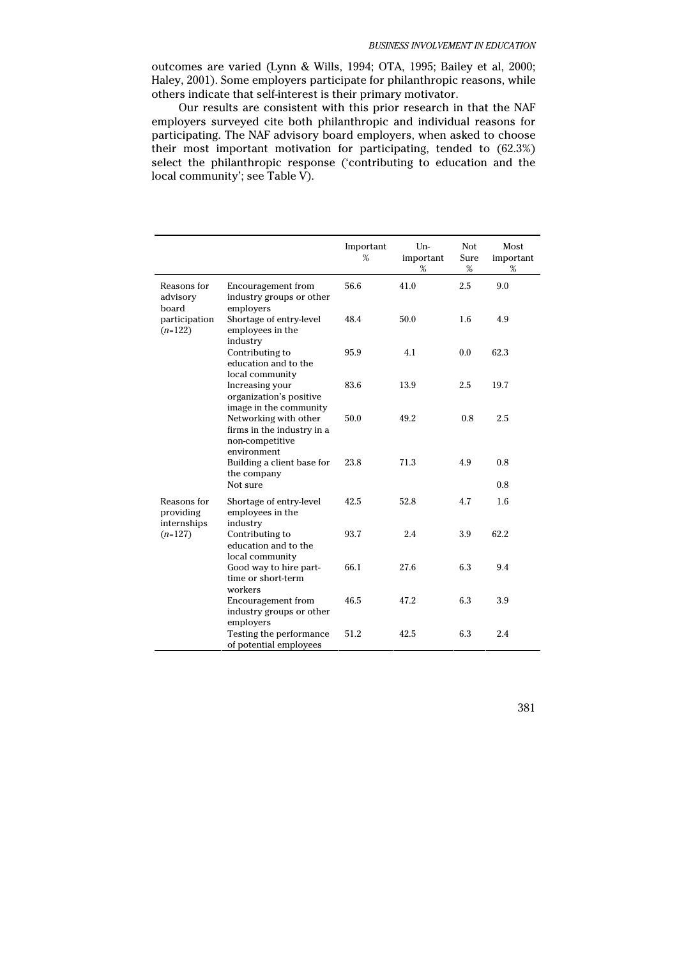outcomes are varied (Lynn & Wills, 1994; OTA, 1995; Bailey et al, 2000; Haley, 2001). Some employers participate for philanthropic reasons, while others indicate that self-interest is their primary motivator.

Our results are consistent with this prior research in that the NAF employers surveyed cite both philanthropic and individual reasons for participating. The NAF advisory board employers, when asked to choose their most important motivation for participating, tended to (62.3%) select the philanthropic response ('contributing to education and the local community'; see Table V).

|                                         |                                                                                       | Important<br>% | Un-<br>important<br>% | <b>Not</b><br>Sure<br>% | Most<br>important<br>% |
|-----------------------------------------|---------------------------------------------------------------------------------------|----------------|-----------------------|-------------------------|------------------------|
| Reasons for<br>advisory<br>board        | Encouragement from<br>industry groups or other<br>employers                           | 56.6           | 41.0                  | 2.5                     | 9.0                    |
| participation<br>$(n=122)$              | Shortage of entry-level<br>employees in the<br>industry                               | 48.4           | 50.0                  | 1.6                     | 4.9                    |
|                                         | Contributing to<br>education and to the<br>local community                            | 95.9           | 4.1                   | 0.0                     | 62.3                   |
|                                         | Increasing your<br>organization's positive<br>image in the community                  | 83.6           | 13.9                  | 2.5                     | 19.7                   |
|                                         | Networking with other<br>firms in the industry in a<br>non-competitive<br>environment | 50.0           | 49.2                  | 0.8                     | 2.5                    |
|                                         | Building a client base for<br>the company<br>Not sure                                 | 23.8           | 71.3                  | 4.9                     | 0.8<br>0.8             |
| Reasons for<br>providing<br>internships | Shortage of entry-level<br>employees in the<br>industry                               | 42.5           | 52.8                  | 4.7                     | 1.6                    |
| $(n=127)$                               | Contributing to<br>education and to the<br>local community                            | 93.7           | 2.4                   | 3.9                     | 62.2                   |
|                                         | Good way to hire part-<br>time or short-term<br>workers                               | 66.1           | 27.6                  | 6.3                     | 9.4                    |
|                                         | Encouragement from<br>industry groups or other<br>employers                           | 46.5           | 47.2                  | 6.3                     | 3.9                    |
|                                         | Testing the performance<br>of potential employees                                     | 51.2           | 42.5                  | 6.3                     | 2.4                    |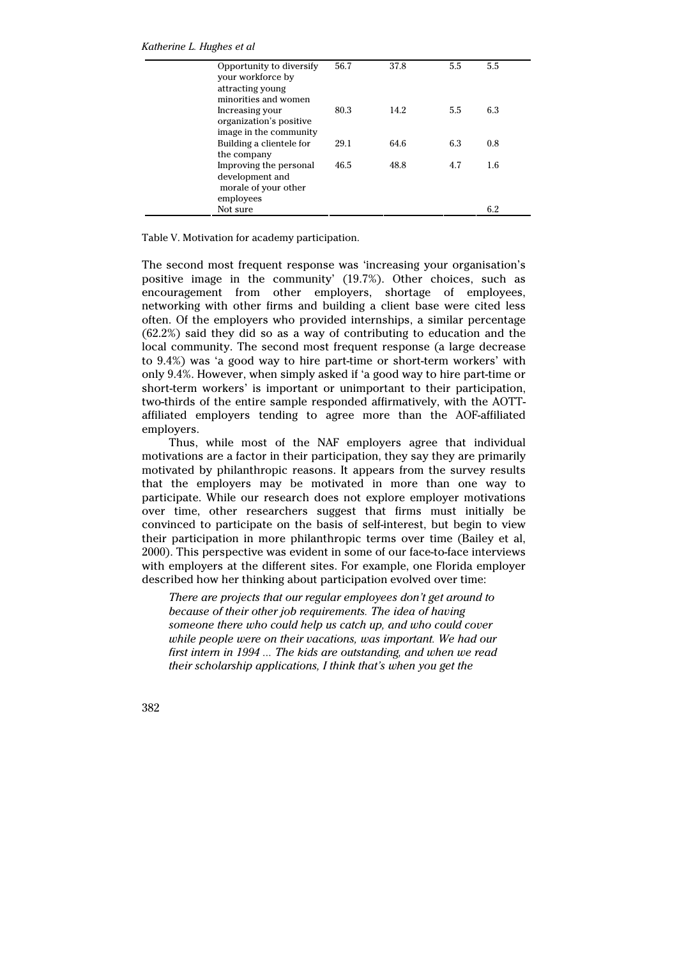| Opportunity to diversify<br>your workforce by                                  | 56.7 | 37.8 | 5.5 | 5.5 |
|--------------------------------------------------------------------------------|------|------|-----|-----|
| attracting young<br>minorities and women                                       |      |      |     |     |
| Increasing your<br>organization's positive<br>image in the community           | 80.3 | 14.2 | 5.5 | 6.3 |
| Building a clientele for<br>the company                                        | 29.1 | 64.6 | 6.3 | 0.8 |
| Improving the personal<br>development and<br>morale of your other<br>employees | 46.5 | 48.8 | 4.7 | 1.6 |
| Not sure                                                                       |      |      |     | 6.2 |

Table V. Motivation for academy participation.

The second most frequent response was 'increasing your organisation's positive image in the community' (19.7%). Other choices, such as encouragement from other employers, shortage of employees, networking with other firms and building a client base were cited less often. Of the employers who provided internships, a similar percentage (62.2%) said they did so as a way of contributing to education and the local community. The second most frequent response (a large decrease to 9.4%) was 'a good way to hire part-time or short-term workers' with only 9.4%. However, when simply asked if 'a good way to hire part-time or short-term workers' is important or unimportant to their participation, two-thirds of the entire sample responded affirmatively, with the AOTTaffiliated employers tending to agree more than the AOF-affiliated employers.

Thus, while most of the NAF employers agree that individual motivations are a factor in their participation, they say they are primarily motivated by philanthropic reasons. It appears from the survey results that the employers may be motivated in more than one way to participate. While our research does not explore employer motivations over time, other researchers suggest that firms must initially be convinced to participate on the basis of self-interest, but begin to view their participation in more philanthropic terms over time (Bailey et al, 2000). This perspective was evident in some of our face-to-face interviews with employers at the different sites. For example, one Florida employer described how her thinking about participation evolved over time:

*There are projects that our regular employees don't get around to because of their other job requirements. The idea of having someone there who could help us catch up, and who could cover while people were on their vacations, was important. We had our first intern in 1994 ... The kids are outstanding, and when we read their scholarship applications, I think that's when you get the*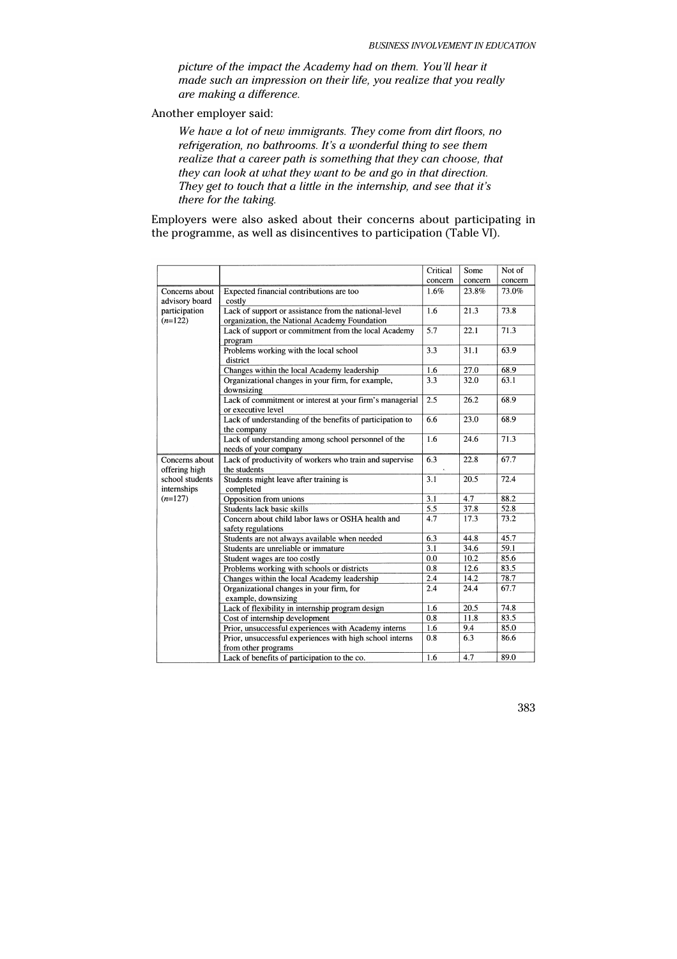*picture of the impact the Academy had on them. You'll hear it made such an impression on their life, you realize that you really are making a difference.* 

Another employer said:

*We have a lot of new immigrants. They come from dirt floors, no refrigeration, no bathrooms. It's a wonderful thing to see them realize that a career path is something that they can choose, that they can look at what they want to be and go in that direction. They get to touch that a little in the internship, and see that it's there for the taking.* 

Employers were also asked about their concerns about participating in the programme, as well as disincentives to participation (Table VI).

|                                  |                                                                                                        | Critical         | Some    | Not of  |
|----------------------------------|--------------------------------------------------------------------------------------------------------|------------------|---------|---------|
|                                  |                                                                                                        | concern          | concern | concern |
| Concerns about<br>advisory board | Expected financial contributions are too<br>costly                                                     | 1.6%             | 23.8%   | 73.0%   |
| participation<br>$(n=122)$       | Lack of support or assistance from the national-level<br>organization, the National Academy Foundation | 1.6              | 21.3    | 73.8    |
|                                  | Lack of support or commitment from the local Academy<br>program                                        | 5.7              | 22.1    | 71.3    |
|                                  | Problems working with the local school<br>district                                                     | 3.3              | 31.1    | 63.9    |
|                                  | Changes within the local Academy leadership                                                            | 1.6              | 27.0    | 68.9    |
|                                  | Organizational changes in your firm, for example,<br>downsizing                                        | 3.3              | 32.0    | 63.1    |
|                                  | Lack of commitment or interest at your firm's managerial<br>or executive level                         | 2.5              | 26.2    | 68.9    |
|                                  | Lack of understanding of the benefits of participation to<br>the company                               | 6.6              | 23.0    | 68.9    |
|                                  | Lack of understanding among school personnel of the<br>needs of your company                           | 1.6              | 24.6    | 71.3    |
| Concerns about<br>offering high  | Lack of productivity of workers who train and supervise<br>the students                                | 6.3              | 22.8    | 67.7    |
| school students<br>internships   | Students might leave after training is<br>completed                                                    | 3.1              | 20.5    | 72.4    |
| $(n=127)$                        | Opposition from unions                                                                                 | $\overline{3.1}$ | 4.7     | 88.2    |
|                                  | Students lack basic skills                                                                             | 5.5              | 37.8    | 52.8    |
|                                  | Concern about child labor laws or OSHA health and<br>safety regulations                                | 4.7              | 17.3    | 73.2    |
|                                  | Students are not always available when needed                                                          | 6.3              | 44.8    | 45.7    |
|                                  | Students are unreliable or immature                                                                    | 3.1              | 34.6    | 59.1    |
|                                  | Student wages are too costly                                                                           | 0.0              | 10.2    | 85.6    |
|                                  | Problems working with schools or districts                                                             | 0.8              | 12.6    | 83.5    |
|                                  | Changes within the local Academy leadership                                                            | 2.4              | 14.2    | 78.7    |
|                                  | Organizational changes in your firm, for<br>example, downsizing                                        | 2.4              | 24.4    | 67.7    |
|                                  | Lack of flexibility in internship program design                                                       | 1.6              | 20.5    | 74.8    |
|                                  | Cost of internship development                                                                         | 0.8              | 11.8    | 83.5    |
|                                  | Prior, unsuccessful experiences with Academy interns                                                   | 1.6              | 9.4     | 85.0    |
|                                  | Prior, unsuccessful experiences with high school interns<br>from other programs                        | 0.8              | 6.3     | 86.6    |
|                                  | Lack of benefits of participation to the co.                                                           | 1.6              | 4.7     | 89.0    |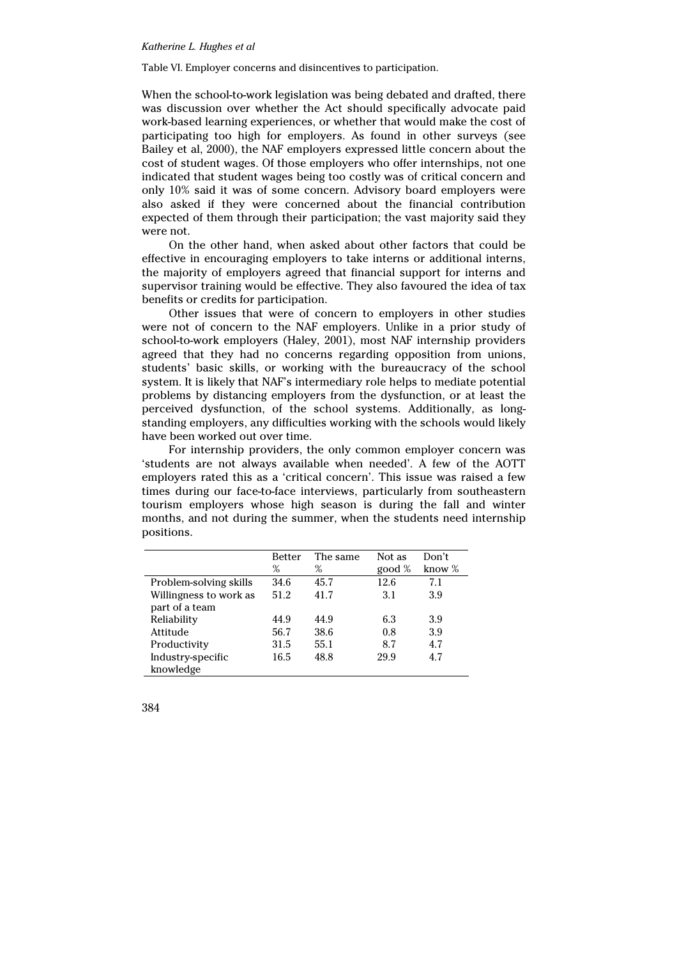Table VI. Employer concerns and disincentives to participation.

When the school-to-work legislation was being debated and drafted, there was discussion over whether the Act should specifically advocate paid work-based learning experiences, or whether that would make the cost of participating too high for employers. As found in other surveys (see Bailey et al, 2000), the NAF employers expressed little concern about the cost of student wages. Of those employers who offer internships, not one indicated that student wages being too costly was of critical concern and only 10% said it was of some concern. Advisory board employers were also asked if they were concerned about the financial contribution expected of them through their participation; the vast majority said they were not.

On the other hand, when asked about other factors that could be effective in encouraging employers to take interns or additional interns, the majority of employers agreed that financial support for interns and supervisor training would be effective. They also favoured the idea of tax benefits or credits for participation.

Other issues that were of concern to employers in other studies were not of concern to the NAF employers. Unlike in a prior study of school-to-work employers (Haley, 2001), most NAF internship providers agreed that they had no concerns regarding opposition from unions, students' basic skills, or working with the bureaucracy of the school system. It is likely that NAF's intermediary role helps to mediate potential problems by distancing employers from the dysfunction, or at least the perceived dysfunction, of the school systems. Additionally, as longstanding employers, any difficulties working with the schools would likely have been worked out over time.

For internship providers, the only common employer concern was 'students are not always available when needed'. A few of the AOTT employers rated this as a 'critical concern'. This issue was raised a few times during our face-to-face interviews, particularly from southeastern tourism employers whose high season is during the fall and winter months, and not during the summer, when the students need internship positions.

|                        | Better | The same | Not as | Don't     |
|------------------------|--------|----------|--------|-----------|
|                        | %      | %        | good % | know $\%$ |
| Problem-solving skills | 34.6   | 45.7     | 12.6   | 7.1       |
| Willingness to work as | 51.2   | 41.7     | 3.1    | 3.9       |
| part of a team         |        |          |        |           |
| Reliability            | 44.9   | 44.9     | 6.3    | 3.9       |
| Attitude               | 56.7   | 38.6     | 0.8    | 3.9       |
| Productivity           | 31.5   | 55.1     | 8.7    | 4.7       |
| Industry-specific      | 16.5   | 48.8     | 29.9   | 4.7       |
| knowledge              |        |          |        |           |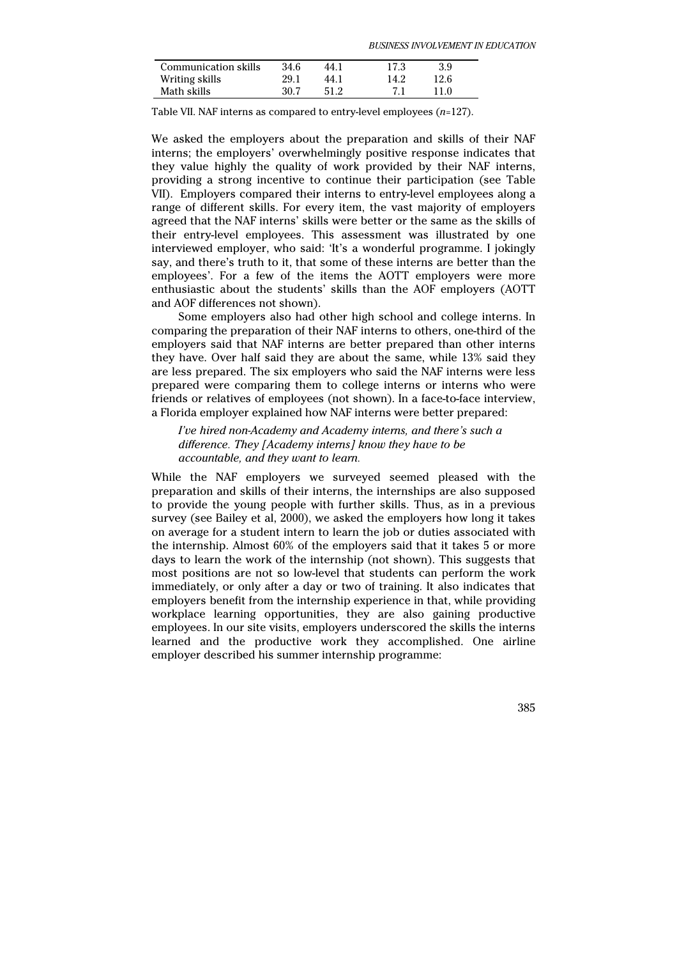| Communication skills | 34.6 | 44.1 | 17.3           | 3.9  |  |
|----------------------|------|------|----------------|------|--|
| Writing skills       | 29.1 | 44.1 | 14.2           | 12.6 |  |
| Math skills          | 30.7 | 51.2 | 7 <sub>1</sub> | 11.0 |  |

Table VII. NAF interns as compared to entry-level employees (*n*=127).

We asked the employers about the preparation and skills of their NAF interns; the employers' overwhelmingly positive response indicates that they value highly the quality of work provided by their NAF interns, providing a strong incentive to continue their participation (see Table VII). Employers compared their interns to entry-level employees along a range of different skills. For every item, the vast majority of employers agreed that the NAF interns' skills were better or the same as the skills of their entry-level employees. This assessment was illustrated by one interviewed employer, who said: 'It's a wonderful programme. I jokingly say, and there's truth to it, that some of these interns are better than the employees'. For a few of the items the AOTT employers were more enthusiastic about the students' skills than the AOF employers (AOTT and AOF differences not shown).

Some employers also had other high school and college interns. In comparing the preparation of their NAF interns to others, one-third of the employers said that NAF interns are better prepared than other interns they have. Over half said they are about the same, while 13% said they are less prepared. The six employers who said the NAF interns were less prepared were comparing them to college interns or interns who were friends or relatives of employees (not shown). In a face-to-face interview, a Florida employer explained how NAF interns were better prepared:

*I've hired non-Academy and Academy interns, and there's such a difference. They [Academy interns] know they have to be accountable, and they want to learn.* 

While the NAF employers we surveyed seemed pleased with the preparation and skills of their interns, the internships are also supposed to provide the young people with further skills. Thus, as in a previous survey (see Bailey et al, 2000), we asked the employers how long it takes on average for a student intern to learn the job or duties associated with the internship. Almost 60% of the employers said that it takes 5 or more days to learn the work of the internship (not shown). This suggests that most positions are not so low-level that students can perform the work immediately, or only after a day or two of training. It also indicates that employers benefit from the internship experience in that, while providing workplace learning opportunities, they are also gaining productive employees. In our site visits, employers underscored the skills the interns learned and the productive work they accomplished. One airline employer described his summer internship programme: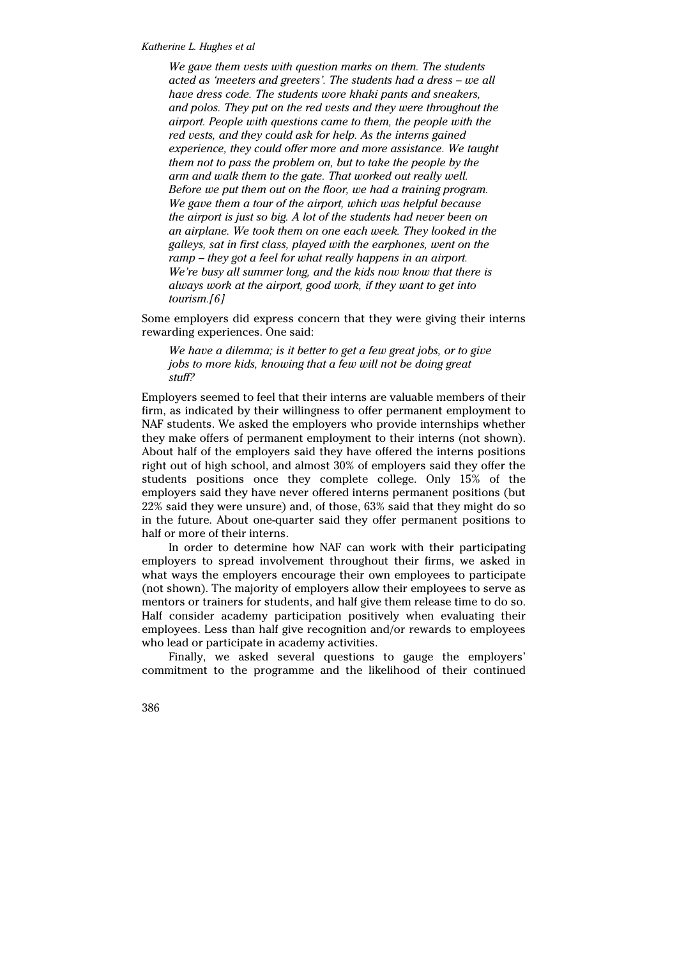*We gave them vests with question marks on them. The students acted as 'meeters and greeters'. The students had a dress – we all have dress code. The students wore khaki pants and sneakers, and polos. They put on the red vests and they were throughout the airport. People with questions came to them, the people with the red vests, and they could ask for help. As the interns gained experience, they could offer more and more assistance. We taught them not to pass the problem on, but to take the people by the arm and walk them to the gate. That worked out really well. Before we put them out on the floor, we had a training program. We gave them a tour of the airport, which was helpful because the airport is just so big. A lot of the students had never been on an airplane. We took them on one each week. They looked in the galleys, sat in first class, played with the earphones, went on the ramp – they got a feel for what really happens in an airport. We're busy all summer long, and the kids now know that there is always work at the airport, good work, if they want to get into tourism.[6]* 

Some employers did express concern that they were giving their interns rewarding experiences. One said:

*We have a dilemma; is it better to get a few great jobs, or to give jobs to more kids, knowing that a few will not be doing great stuff?* 

Employers seemed to feel that their interns are valuable members of their firm, as indicated by their willingness to offer permanent employment to NAF students. We asked the employers who provide internships whether they make offers of permanent employment to their interns (not shown). About half of the employers said they have offered the interns positions right out of high school, and almost 30% of employers said they offer the students positions once they complete college. Only 15% of the employers said they have never offered interns permanent positions (but 22% said they were unsure) and, of those, 63% said that they might do so in the future. About one-quarter said they offer permanent positions to half or more of their interns.

In order to determine how NAF can work with their participating employers to spread involvement throughout their firms, we asked in what ways the employers encourage their own employees to participate (not shown). The majority of employers allow their employees to serve as mentors or trainers for students, and half give them release time to do so. Half consider academy participation positively when evaluating their employees. Less than half give recognition and/or rewards to employees who lead or participate in academy activities.

Finally, we asked several questions to gauge the employers' commitment to the programme and the likelihood of their continued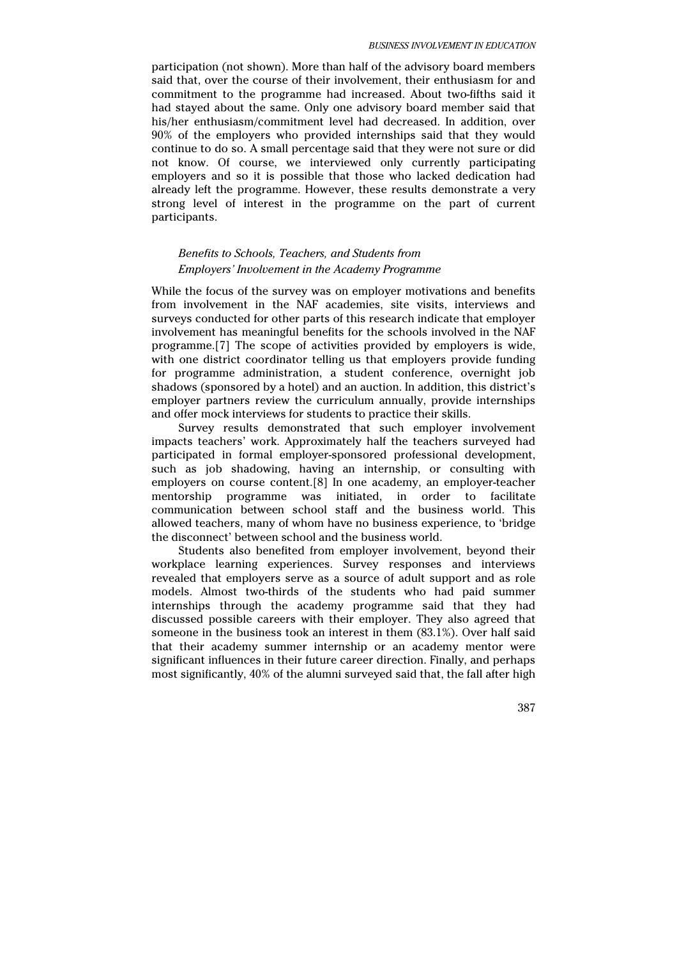participation (not shown). More than half of the advisory board members said that, over the course of their involvement, their enthusiasm for and commitment to the programme had increased. About two-fifths said it had stayed about the same. Only one advisory board member said that his/her enthusiasm/commitment level had decreased. In addition, over 90% of the employers who provided internships said that they would continue to do so. A small percentage said that they were not sure or did not know. Of course, we interviewed only currently participating employers and so it is possible that those who lacked dedication had already left the programme. However, these results demonstrate a very strong level of interest in the programme on the part of current participants.

# *Benefits to Schools, Teachers, and Students from Employers' Involvement in the Academy Programme*

While the focus of the survey was on employer motivations and benefits from involvement in the NAF academies, site visits, interviews and surveys conducted for other parts of this research indicate that employer involvement has meaningful benefits for the schools involved in the NAF programme.[7] The scope of activities provided by employers is wide, with one district coordinator telling us that employers provide funding for programme administration, a student conference, overnight job shadows (sponsored by a hotel) and an auction. In addition, this district's employer partners review the curriculum annually, provide internships and offer mock interviews for students to practice their skills.

Survey results demonstrated that such employer involvement impacts teachers' work. Approximately half the teachers surveyed had participated in formal employer-sponsored professional development, such as job shadowing, having an internship, or consulting with employers on course content.[8] In one academy, an employer-teacher mentorship programme was initiated, in order to facilitate communication between school staff and the business world. This allowed teachers, many of whom have no business experience, to 'bridge the disconnect' between school and the business world.

Students also benefited from employer involvement, beyond their workplace learning experiences. Survey responses and interviews revealed that employers serve as a source of adult support and as role models. Almost two-thirds of the students who had paid summer internships through the academy programme said that they had discussed possible careers with their employer. They also agreed that someone in the business took an interest in them (83.1%). Over half said that their academy summer internship or an academy mentor were significant influences in their future career direction. Finally, and perhaps most significantly, 40% of the alumni surveyed said that, the fall after high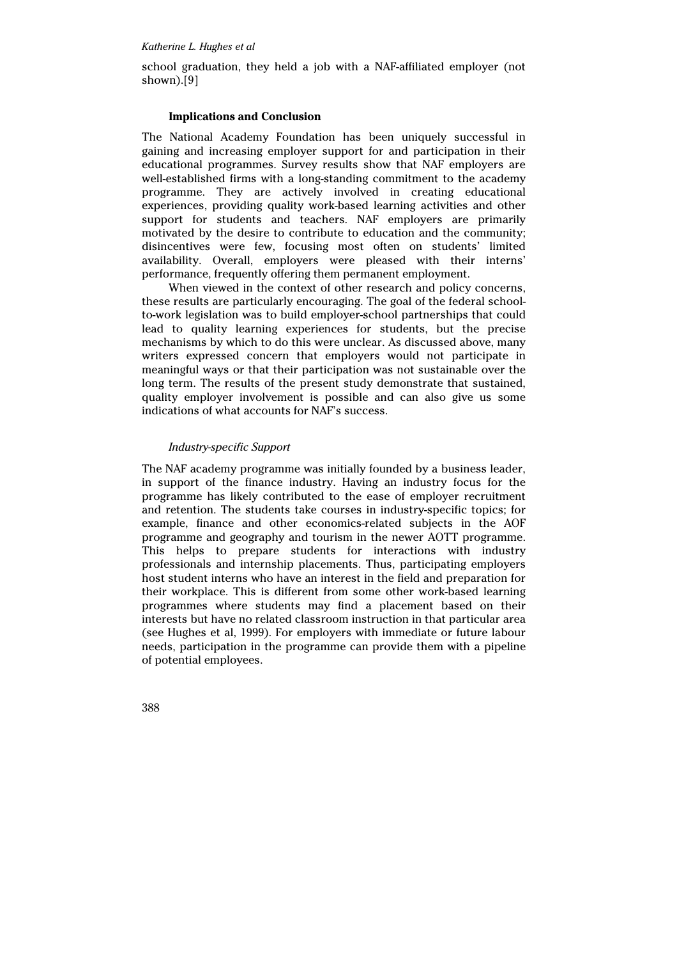school graduation, they held a job with a NAF-affiliated employer (not shown).[9]

## **Implications and Conclusion**

The National Academy Foundation has been uniquely successful in gaining and increasing employer support for and participation in their educational programmes. Survey results show that NAF employers are well-established firms with a long-standing commitment to the academy programme. They are actively involved in creating educational experiences, providing quality work-based learning activities and other support for students and teachers. NAF employers are primarily motivated by the desire to contribute to education and the community; disincentives were few, focusing most often on students' limited availability. Overall, employers were pleased with their interns' performance, frequently offering them permanent employment.

When viewed in the context of other research and policy concerns, these results are particularly encouraging. The goal of the federal schoolto-work legislation was to build employer-school partnerships that could lead to quality learning experiences for students, but the precise mechanisms by which to do this were unclear. As discussed above, many writers expressed concern that employers would not participate in meaningful ways or that their participation was not sustainable over the long term. The results of the present study demonstrate that sustained, quality employer involvement is possible and can also give us some indications of what accounts for NAF's success.

#### *Industry-specific Support*

The NAF academy programme was initially founded by a business leader, in support of the finance industry. Having an industry focus for the programme has likely contributed to the ease of employer recruitment and retention. The students take courses in industry-specific topics; for example, finance and other economics-related subjects in the AOF programme and geography and tourism in the newer AOTT programme. This helps to prepare students for interactions with industry professionals and internship placements. Thus, participating employers host student interns who have an interest in the field and preparation for their workplace. This is different from some other work-based learning programmes where students may find a placement based on their interests but have no related classroom instruction in that particular area (see Hughes et al, 1999). For employers with immediate or future labour needs, participation in the programme can provide them with a pipeline of potential employees.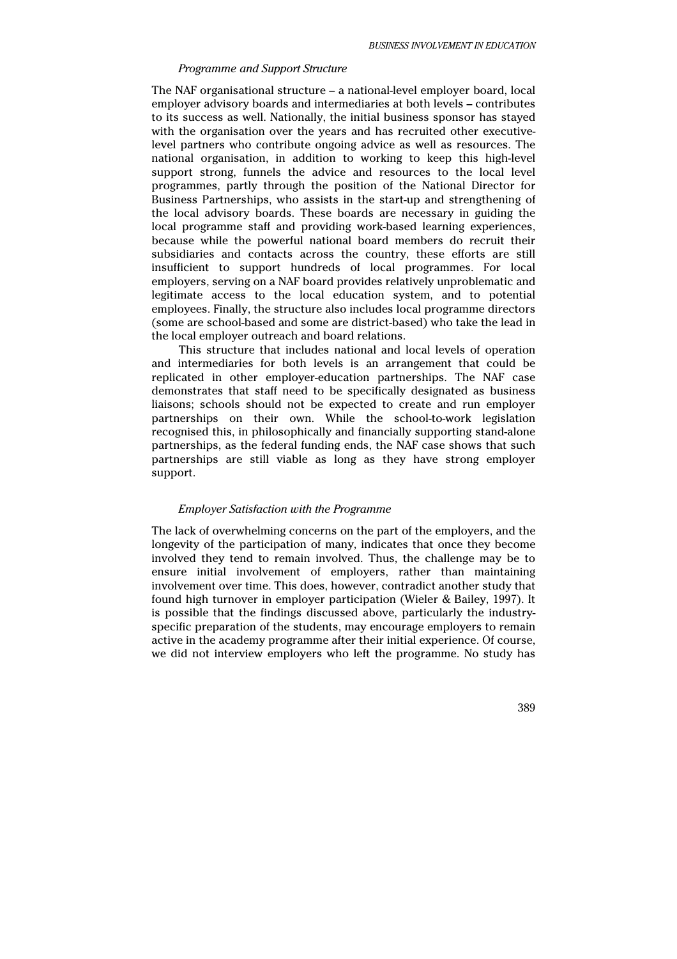### *Programme and Support Structure*

The NAF organisational structure – a national-level employer board, local employer advisory boards and intermediaries at both levels – contributes to its success as well. Nationally, the initial business sponsor has stayed with the organisation over the years and has recruited other executivelevel partners who contribute ongoing advice as well as resources. The national organisation, in addition to working to keep this high-level support strong, funnels the advice and resources to the local level programmes, partly through the position of the National Director for Business Partnerships, who assists in the start-up and strengthening of the local advisory boards. These boards are necessary in guiding the local programme staff and providing work-based learning experiences, because while the powerful national board members do recruit their subsidiaries and contacts across the country, these efforts are still insufficient to support hundreds of local programmes. For local employers, serving on a NAF board provides relatively unproblematic and legitimate access to the local education system, and to potential employees. Finally, the structure also includes local programme directors (some are school-based and some are district-based) who take the lead in the local employer outreach and board relations.

This structure that includes national and local levels of operation and intermediaries for both levels is an arrangement that could be replicated in other employer-education partnerships. The NAF case demonstrates that staff need to be specifically designated as business liaisons; schools should not be expected to create and run employer partnerships on their own. While the school-to-work legislation recognised this, in philosophically and financially supporting stand-alone partnerships, as the federal funding ends, the NAF case shows that such partnerships are still viable as long as they have strong employer support.

### *Employer Satisfaction with the Programme*

The lack of overwhelming concerns on the part of the employers, and the longevity of the participation of many, indicates that once they become involved they tend to remain involved. Thus, the challenge may be to ensure initial involvement of employers, rather than maintaining involvement over time. This does, however, contradict another study that found high turnover in employer participation (Wieler & Bailey, 1997). It is possible that the findings discussed above, particularly the industryspecific preparation of the students, may encourage employers to remain active in the academy programme after their initial experience. Of course, we did not interview employers who left the programme. No study has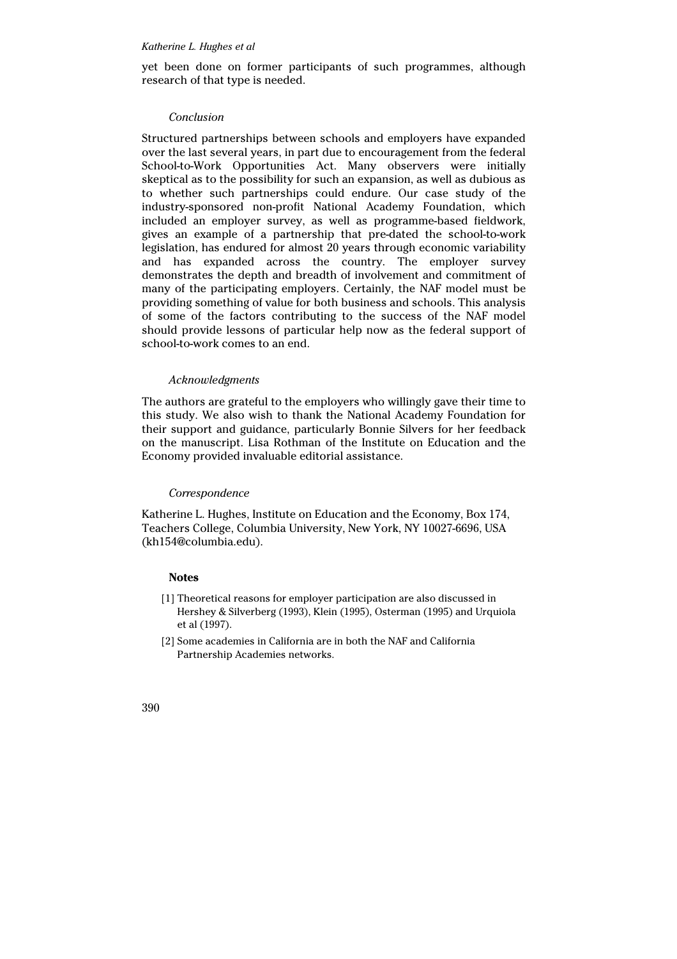yet been done on former participants of such programmes, although research of that type is needed.

### *Conclusion*

Structured partnerships between schools and employers have expanded over the last several years, in part due to encouragement from the federal School-to-Work Opportunities Act. Many observers were initially skeptical as to the possibility for such an expansion, as well as dubious as to whether such partnerships could endure. Our case study of the industry-sponsored non-profit National Academy Foundation, which included an employer survey, as well as programme-based fieldwork, gives an example of a partnership that pre-dated the school-to-work legislation, has endured for almost 20 years through economic variability and has expanded across the country. The employer survey demonstrates the depth and breadth of involvement and commitment of many of the participating employers. Certainly, the NAF model must be providing something of value for both business and schools. This analysis of some of the factors contributing to the success of the NAF model should provide lessons of particular help now as the federal support of school-to-work comes to an end.

# *Acknowledgments*

The authors are grateful to the employers who willingly gave their time to this study. We also wish to thank the National Academy Foundation for their support and guidance, particularly Bonnie Silvers for her feedback on the manuscript. Lisa Rothman of the Institute on Education and the Economy provided invaluable editorial assistance.

# *Correspondence*

Katherine L. Hughes, Institute on Education and the Economy, Box 174, Teachers College, Columbia University, New York, NY 10027-6696, USA (kh154@columbia.edu).

# **Notes**

- [1] Theoretical reasons for employer participation are also discussed in Hershey & Silverberg (1993), Klein (1995), Osterman (1995) and Urquiola et al (1997).
- [2] Some academies in California are in both the NAF and California Partnership Academies networks.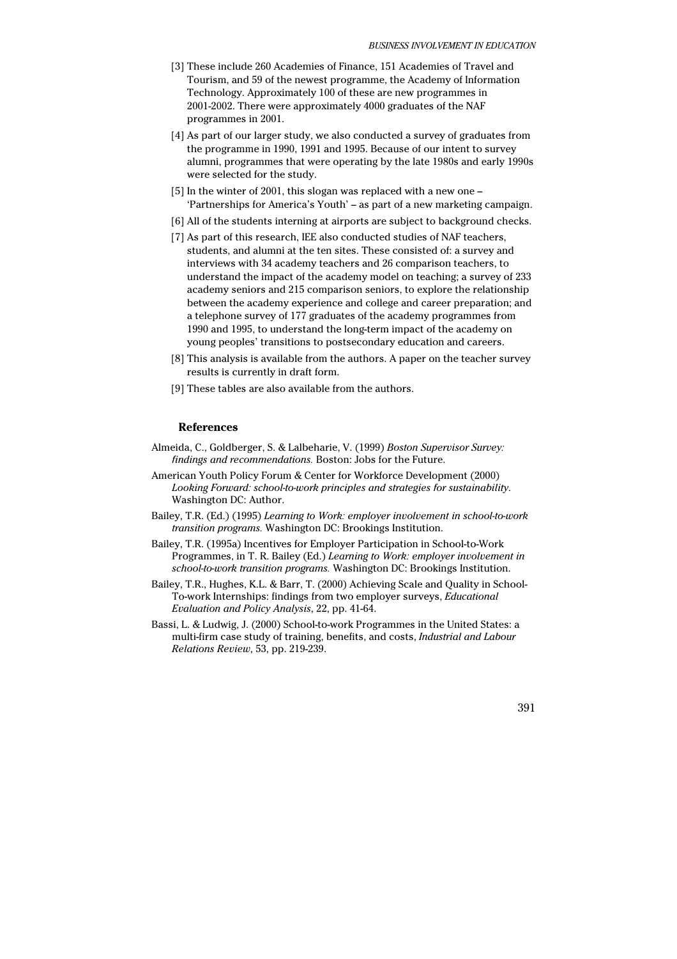- [3] These include 260 Academies of Finance, 151 Academies of Travel and Tourism, and 59 of the newest programme, the Academy of Information Technology. Approximately 100 of these are new programmes in 2001-2002. There were approximately 4000 graduates of the NAF programmes in 2001.
- [4] As part of our larger study, we also conducted a survey of graduates from the programme in 1990, 1991 and 1995. Because of our intent to survey alumni, programmes that were operating by the late 1980s and early 1990s were selected for the study.
- [5] In the winter of 2001, this slogan was replaced with a new one 'Partnerships for America's Youth' – as part of a new marketing campaign.
- [6] All of the students interning at airports are subject to background checks.
- [7] As part of this research, IEE also conducted studies of NAF teachers, students, and alumni at the ten sites. These consisted of: a survey and interviews with 34 academy teachers and 26 comparison teachers, to understand the impact of the academy model on teaching; a survey of 233 academy seniors and 215 comparison seniors, to explore the relationship between the academy experience and college and career preparation; and a telephone survey of 177 graduates of the academy programmes from 1990 and 1995, to understand the long-term impact of the academy on young peoples' transitions to postsecondary education and careers.
- [8] This analysis is available from the authors. A paper on the teacher survey results is currently in draft form.
- [9] These tables are also available from the authors.

### **References**

- Almeida, C., Goldberger, S. & Lalbeharie, V. (1999) *Boston Supervisor Survey: findings and recommendations.* Boston: Jobs for the Future.
- American Youth Policy Forum & Center for Workforce Development (2000) *Looking Forward: school-to-work principles and strategies for sustainability*. Washington DC: Author.
- Bailey, T.R. (Ed.) (1995) *Learning to Work: employer involvement in school-to-work transition programs.* Washington DC: Brookings Institution.
- Bailey, T.R. (1995a) Incentives for Employer Participation in School-to-Work Programmes, in T. R. Bailey (Ed.) *Learning to Work: employer involvement in school-to-work transition programs.* Washington DC: Brookings Institution.
- Bailey, T.R., Hughes, K.L. & Barr, T. (2000) Achieving Scale and Quality in School-To-work Internships: findings from two employer surveys, *Educational Evaluation and Policy Analysis*, 22, pp. 41-64.
- Bassi, L. & Ludwig, J. (2000) School-to-work Programmes in the United States: a multi-firm case study of training, benefits, and costs, *Industrial and Labour Relations Review*, 53, pp. 219-239.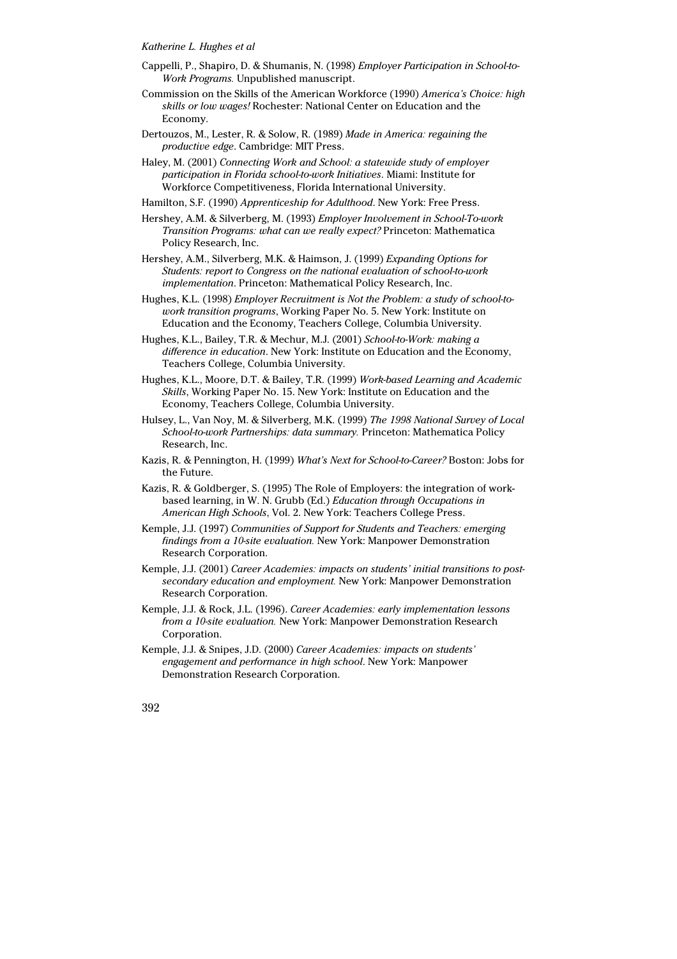- Cappelli, P., Shapiro, D. & Shumanis, N. (1998) *Employer Participation in School-to-Work Programs.* Unpublished manuscript.
- Commission on the Skills of the American Workforce (1990) *America's Choice: high skills or low wages!* Rochester: National Center on Education and the Economy.
- Dertouzos, M., Lester, R. & Solow, R. (1989) *Made in America: regaining the productive edge*. Cambridge: MIT Press.
- Haley, M. (2001) *Connecting Work and School: a statewide study of employer participation in Florida school-to-work Initiatives*. Miami: Institute for Workforce Competitiveness, Florida International University.
- Hamilton, S.F. (1990) *Apprenticeship for Adulthood*. New York: Free Press.
- Hershey, A.M. & Silverberg, M. (1993) *Employer Involvement in School-To-work Transition Programs: what can we really expect?* Princeton: Mathematica Policy Research, Inc.
- Hershey, A.M., Silverberg, M.K. & Haimson, J. (1999) *Expanding Options for Students: report to Congress on the national evaluation of school-to-work implementation*. Princeton: Mathematical Policy Research, Inc.
- Hughes, K.L. (1998) *Employer Recruitment is Not the Problem: a study of school-towork transition programs*, Working Paper No. 5. New York: Institute on Education and the Economy, Teachers College, Columbia University.
- Hughes, K.L., Bailey, T.R. & Mechur, M.J. (2001) *School-to-Work: making a difference in education*. New York: Institute on Education and the Economy, Teachers College, Columbia University.
- Hughes, K.L., Moore, D.T. & Bailey, T.R. (1999) *Work-based Learning and Academic Skills*, Working Paper No. 15. New York: Institute on Education and the Economy, Teachers College, Columbia University.
- Hulsey, L., Van Noy, M. & Silverberg, M.K. (1999) *The 1998 National Survey of Local School-to-work Partnerships: data summary.* Princeton: Mathematica Policy Research, Inc.
- Kazis, R. & Pennington, H. (1999) *What's Next for School-to-Career?* Boston: Jobs for the Future.
- Kazis, R. & Goldberger, S. (1995) The Role of Employers: the integration of workbased learning, in W. N. Grubb (Ed.) *Education through Occupations in American High Schools*, Vol. 2. New York: Teachers College Press.
- Kemple, J.J. (1997) *Communities of Support for Students and Teachers: emerging findings from a 10-site evaluation.* New York: Manpower Demonstration Research Corporation.
- Kemple, J.J. (2001) *Career Academies: impacts on students' initial transitions to postsecondary education and employment.* New York: Manpower Demonstration Research Corporation.
- Kemple, J.J. & Rock, J.L. (1996). *Career Academies: early implementation lessons from a 10-site evaluation.* New York: Manpower Demonstration Research Corporation.
- Kemple, J.J. & Snipes, J.D. (2000) *Career Academies: impacts on students' engagement and performance in high school*. New York: Manpower Demonstration Research Corporation.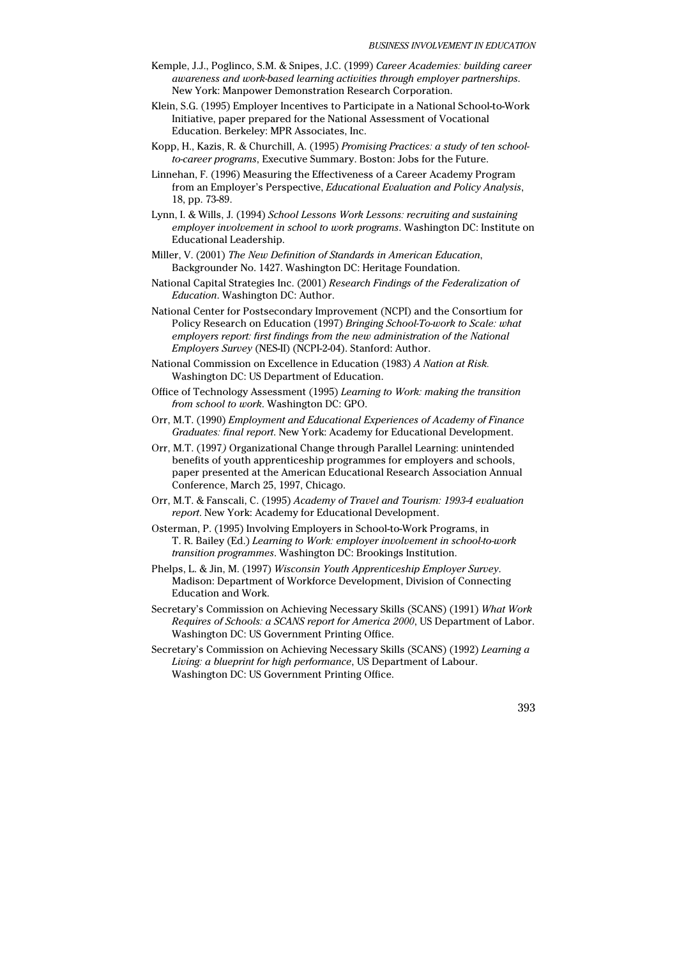- Kemple, J.J., Poglinco, S.M. & Snipes, J.C. (1999) *Career Academies: building career awareness and work-based learning activities through employer partnerships*. New York: Manpower Demonstration Research Corporation.
- Klein, S.G. (1995) Employer Incentives to Participate in a National School-to-Work Initiative, paper prepared for the National Assessment of Vocational Education. Berkeley: MPR Associates, Inc.
- Kopp, H., Kazis, R. & Churchill, A. (1995) *Promising Practices: a study of ten schoolto-career programs*, Executive Summary. Boston: Jobs for the Future.
- Linnehan, F. (1996) Measuring the Effectiveness of a Career Academy Program from an Employer's Perspective, *Educational Evaluation and Policy Analysis*, 18, pp. 73-89.
- Lynn, I. & Wills, J. (1994) *School Lessons Work Lessons: recruiting and sustaining employer involvement in school to work programs*. Washington DC: Institute on Educational Leadership.
- Miller, V. (2001) *The New Definition of Standards in American Education*, Backgrounder No. 1427. Washington DC: Heritage Foundation.
- National Capital Strategies Inc. (2001) *Research Findings of the Federalization of Education*. Washington DC: Author.
- National Center for Postsecondary Improvement (NCPI) and the Consortium for Policy Research on Education (1997) *Bringing School-To-work to Scale: what employers report: first findings from the new administration of the National Employers Survey* (NES-II) (NCPI-2-04). Stanford: Author.
- National Commission on Excellence in Education (1983) *A Nation at Risk.* Washington DC: US Department of Education.
- Office of Technology Assessment (1995) *Learning to Work: making the transition from school to work*. Washington DC: GPO.
- Orr, M.T. (1990) *Employment and Educational Experiences of Academy of Finance Graduates: final report*. New York: Academy for Educational Development.
- Orr, M.T. (1997*)* Organizational Change through Parallel Learning: unintended benefits of youth apprenticeship programmes for employers and schools, paper presented at the American Educational Research Association Annual Conference, March 25, 1997, Chicago.
- Orr, M.T. & Fanscali, C. (1995) *Academy of Travel and Tourism: 1993-4 evaluation report*. New York: Academy for Educational Development.
- Osterman, P. (1995) Involving Employers in School-to-Work Programs, in T. R. Bailey (Ed.) *Learning to Work: employer involvement in school-to-work transition programmes*. Washington DC: Brookings Institution.
- Phelps, L. & Jin, M. (1997) *Wisconsin Youth Apprenticeship Employer Survey*. Madison: Department of Workforce Development, Division of Connecting Education and Work.
- Secretary's Commission on Achieving Necessary Skills (SCANS) (1991) *What Work Requires of Schools: a SCANS report for America 2000*, US Department of Labor. Washington DC: US Government Printing Office.
- Secretary's Commission on Achieving Necessary Skills (SCANS) (1992) *Learning a Living: a blueprint for high performance*, US Department of Labour. Washington DC: US Government Printing Office.